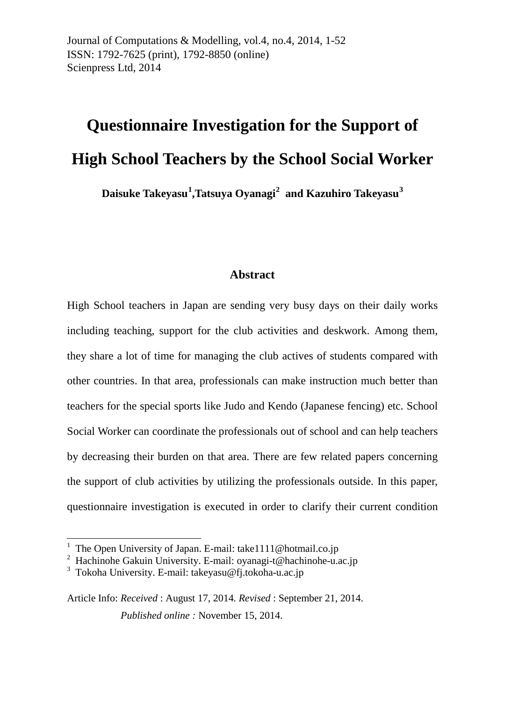Journal of Computations & Modelling*,* vol.4, no.4, 2014, 1-52 ISSN: 1792-7625 (print), 1792-8850 (online) Scienpress Ltd, 2014

# **Questionnaire Investigation for the Support of High School Teachers by the School Social Worker**

**Daisuke Takeyasu[1](#page-0-0) ,Tatsuya Oyanagi[2](#page-0-1) and Kazuhiro Takeyasu[3](#page-0-2)**

#### **Abstract**

High School teachers in Japan are sending very busy days on their daily works including teaching, support for the club activities and deskwork. Among them, they share a lot of time for managing the club actives of students compared with other countries. In that area, professionals can make instruction much better than teachers for the special sports like Judo and Kendo (Japanese fencing) etc. School Social Worker can coordinate the professionals out of school and can help teachers by decreasing their burden on that area. There are few related papers concerning the support of club activities by utilizing the professionals outside. In this paper, questionnaire investigation is executed in order to clarify their current condition

1

<span id="page-0-0"></span>The Open University of Japan. E-mail: take1111@hotmail.co.jp

<span id="page-0-1"></span><sup>&</sup>lt;sup>2</sup> Hachinohe Gakuin University. E-mail: oyanagi-t@hachinohe-u.ac.jp

<span id="page-0-2"></span><sup>&</sup>lt;sup>3</sup> Tokoha University. E-mail: [takeyasu@fj.tokoha-u.ac.jp](mailto:takeyasu@fj.tokoha-u.ac.jp)

Article Info: *Received* : August 17, 2014*. Revised* : September 21, 2014.  *Published online :* November 15, 2014.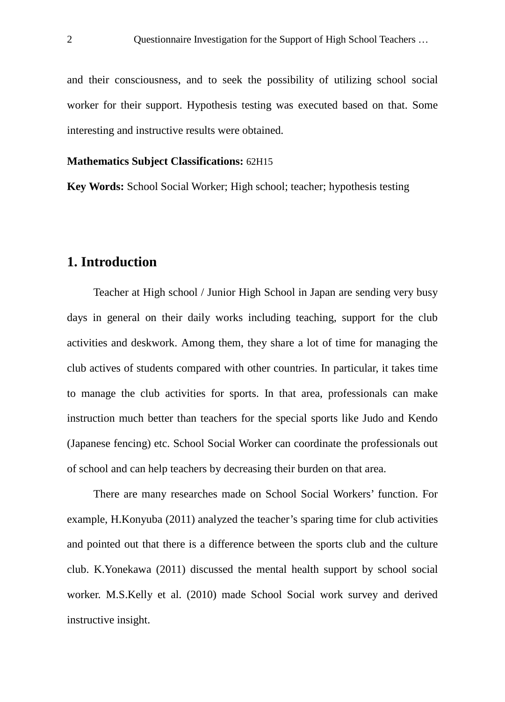and their consciousness, and to seek the possibility of utilizing school social worker for their support. Hypothesis testing was executed based on that. Some interesting and instructive results were obtained.

#### **Mathematics Subject Classifications:** 62H15

**Key Words:** School Social Worker; High school; teacher; hypothesis testing

## **1. Introduction**

Teacher at High school / Junior High School in Japan are sending very busy days in general on their daily works including teaching, support for the club activities and deskwork. Among them, they share a lot of time for managing the club actives of students compared with other countries. In particular, it takes time to manage the club activities for sports. In that area, professionals can make instruction much better than teachers for the special sports like Judo and Kendo (Japanese fencing) etc. School Social Worker can coordinate the professionals out of school and can help teachers by decreasing their burden on that area.

There are many researches made on School Social Workers' function. For example, H.Konyuba (2011) analyzed the teacher's sparing time for club activities and pointed out that there is a difference between the sports club and the culture club. K.Yonekawa (2011) discussed the mental health support by school social worker. M.S.Kelly et al. (2010) made School Social work survey and derived instructive insight.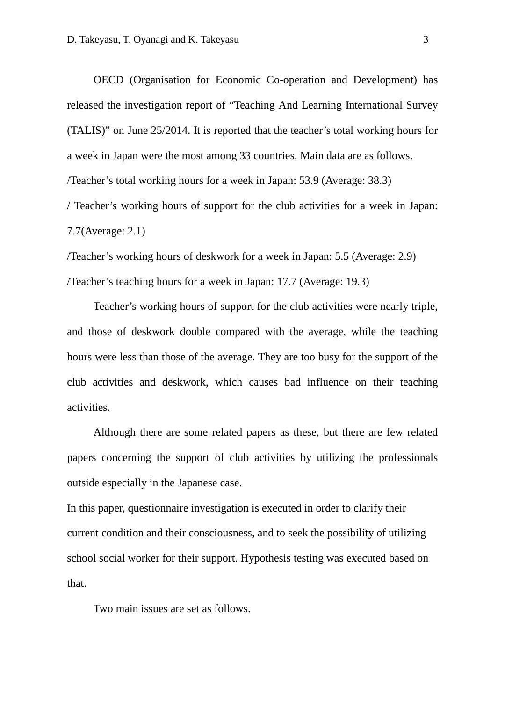OECD (Organisation for Economic Co-operation and Development) has released the investigation report of "Teaching And Learning International Survey (TALIS)" on June 25/2014. It is reported that the teacher's total working hours for a week in Japan were the most among 33 countries. Main data are as follows. /Teacher's total working hours for a week in Japan: 53.9 (Average: 38.3)

/ Teacher's working hours of support for the club activities for a week in Japan: 7.7(Average: 2.1)

/Teacher's working hours of deskwork for a week in Japan: 5.5 (Average: 2.9) /Teacher's teaching hours for a week in Japan: 17.7 (Average: 19.3)

Teacher's working hours of support for the club activities were nearly triple, and those of deskwork double compared with the average, while the teaching hours were less than those of the average. They are too busy for the support of the club activities and deskwork, which causes bad influence on their teaching activities.

Although there are some related papers as these, but there are few related papers concerning the support of club activities by utilizing the professionals outside especially in the Japanese case.

In this paper, questionnaire investigation is executed in order to clarify their current condition and their consciousness, and to seek the possibility of utilizing school social worker for their support. Hypothesis testing was executed based on that.

Two main issues are set as follows.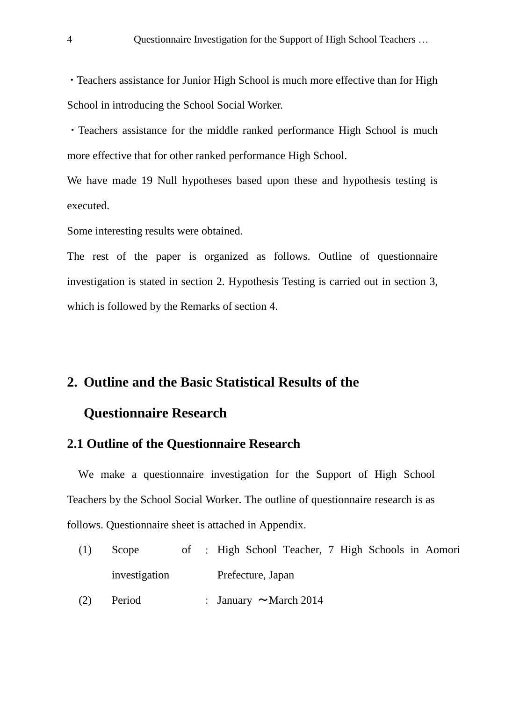・Teachers assistance for Junior High School is much more effective than for High School in introducing the School Social Worker.

・Teachers assistance for the middle ranked performance High School is much more effective that for other ranked performance High School.

We have made 19 Null hypotheses based upon these and hypothesis testing is executed.

Some interesting results were obtained.

The rest of the paper is organized as follows. Outline of questionnaire investigation is stated in section 2. Hypothesis Testing is carried out in section 3, which is followed by the Remarks of section 4.

## **2. Outline and the Basic Statistical Results of the**

## **Questionnaire Research**

#### **2.1 Outline of the Questionnaire Research**

We make a questionnaire investigation for the Support of High School Teachers by the School Social Worker. The outline of questionnaire research is as follows. Questionnaire sheet is attached in Appendix.

 $(1)$  Scope investigation : High School Teacher, 7 High Schools in Aomori Prefecture, Japan (2) Period : January  $\sim$  March 2014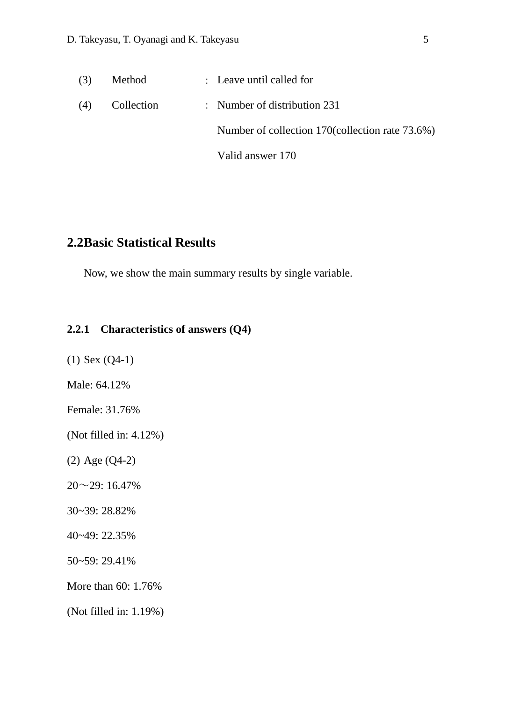| (3) | Method     | : Leave until called for                         |
|-----|------------|--------------------------------------------------|
| (4) | Collection | : Number of distribution $231$                   |
|     |            | Number of collection 170 (collection rate 73.6%) |
|     |            | Valid answer 170                                 |

## **2.2Basic Statistical Results**

Now, we show the main summary results by single variable.

#### **2.2.1 Characteristics of answers (Q4)**

(1) Sex (Q4-1)

Male: 64.12%

Female: 31.76%

(Not filled in: 4.12%)

(2) Age (Q4-2)

20~29: 16.47%

30~39: 28.82%

40~49: 22.35%

50~59: 29.41%

More than 60: 1.76%

(Not filled in: 1.19%)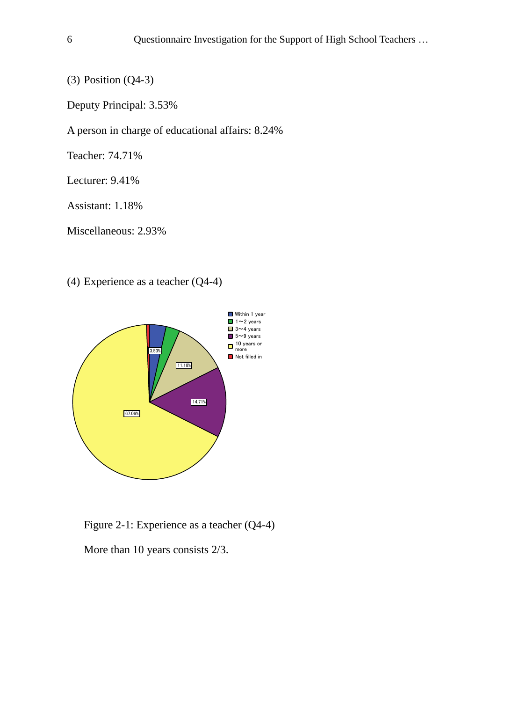(3) Position (Q4-3)

Deputy Principal: 3.53%

A person in charge of educational affairs: 8.24%

Teacher: 74.71%

Lecturer: 9.41%

Assistant: 1.18%

Miscellaneous: 2.93%

(4) Experience as a teacher (Q4-4)



Figure 2-1: Experience as a teacher (Q4-4)

More than 10 years consists 2/3.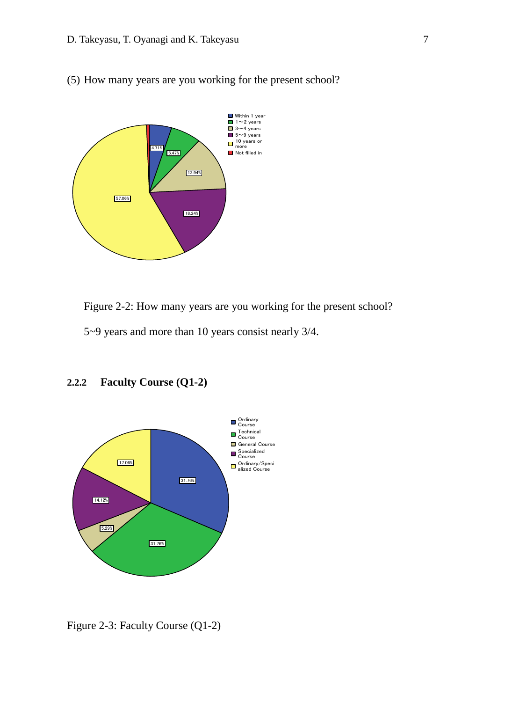(5) How many years are you working for the present school?



Figure 2-2: How many years are you working for the present school?

5~9 years and more than 10 years consist nearly 3/4.



#### **2.2.2 Faculty Course (Q1-2)**

Figure 2-3: Faculty Course (Q1-2)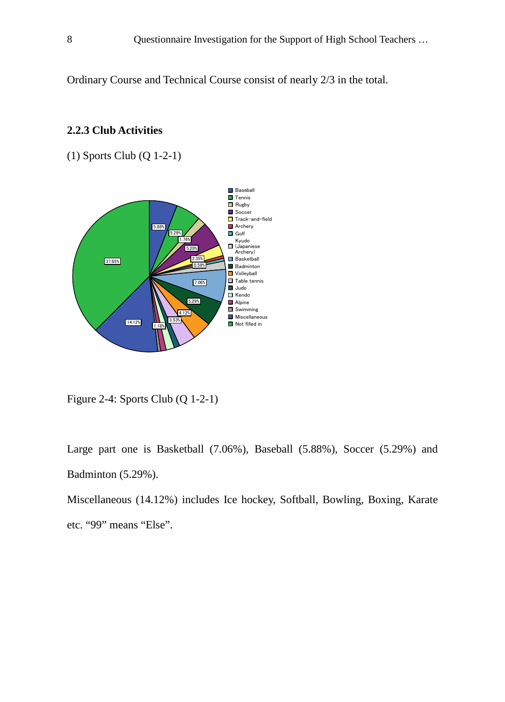Ordinary Course and Technical Course consist of nearly 2/3 in the total.

#### (1) Sports Club (Q 1-2-1) 5.88% 5.29% 1.76% 5.29% **Baseball**  $\Box$  Tennis Rugby Soccer Track-and-field **Archery** Golf

**2.2.3 Club Activities**



Figure 2-4: Sports Club (Q 1-2-1)

Large part one is Basketball (7.06%), Baseball (5.88%), Soccer (5.29%) and Badminton (5.29%).

Miscellaneous (14.12%) includes Ice hockey, Softball, Bowling, Boxing, Karate etc. "99" means "Else".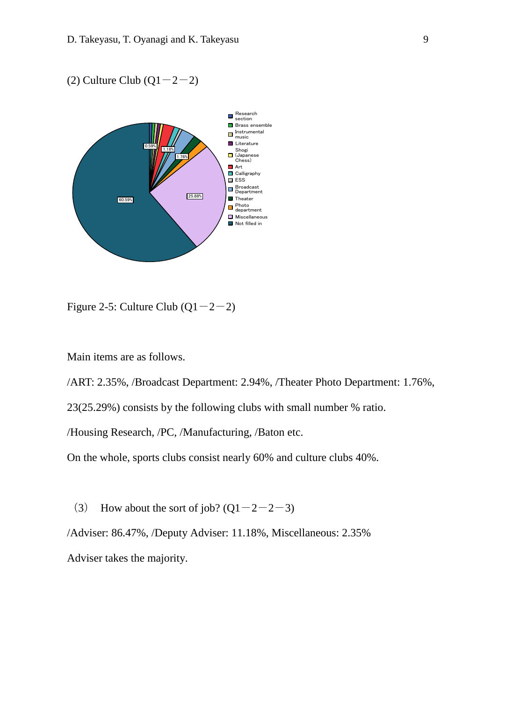(2) Culture Club  $(Q1-2-2)$ 



Figure 2-5: Culture Club  $(Q1-2-2)$ 

Main items are as follows.

/ART: 2.35%, /Broadcast Department: 2.94%, /Theater Photo Department: 1.76%,

23(25.29%) consists by the following clubs with small number % ratio.

/Housing Research, /PC, /Manufacturing, /Baton etc.

On the whole, sports clubs consist nearly 60% and culture clubs 40%.

(3) How about the sort of job?  $(Q1-2-2-3)$ 

/Adviser: 86.47%, /Deputy Adviser: 11.18%, Miscellaneous: 2.35% Adviser takes the majority.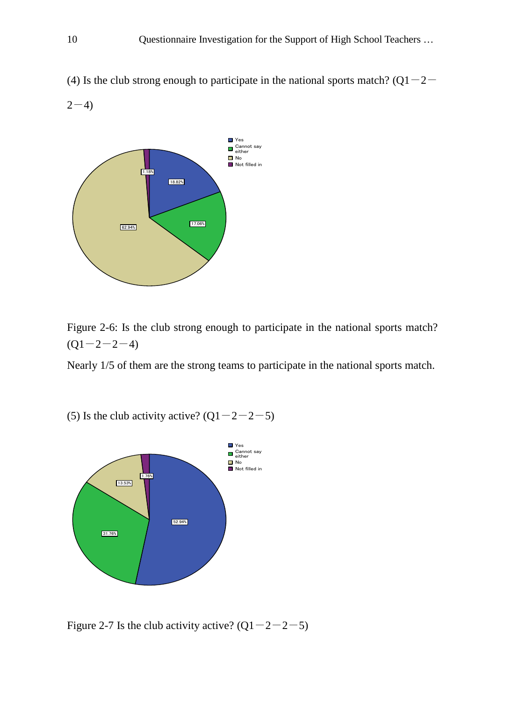(4) Is the club strong enough to participate in the national sports match? ( $Q1-2-$ 





Figure 2-6: Is the club strong enough to participate in the national sports match?  $(Q1 - 2 - 2 - 4)$ 

Nearly 1/5 of them are the strong teams to participate in the national sports match.

(5) Is the club activity active?  $(Q1-2-2-5)$ 



Figure 2-7 Is the club activity active?  $(Q1-2-2-5)$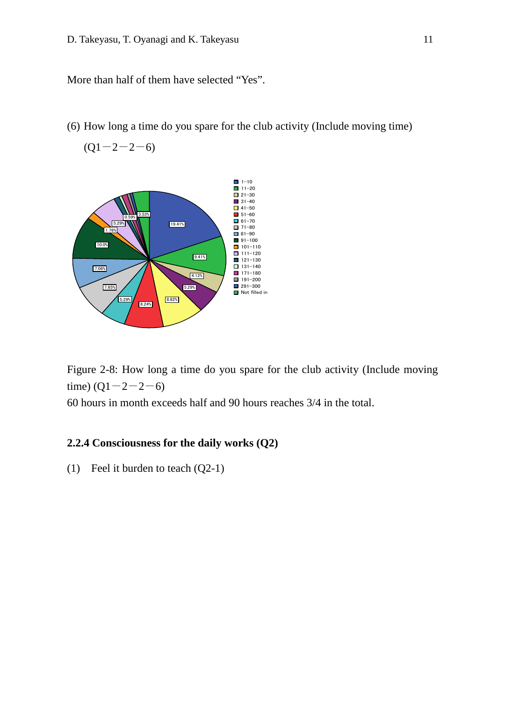More than half of them have selected "Yes".

(6) How long a time do you spare for the club activity (Include moving time)

 $(Q1 - 2 - 2 - 6)$ 



Figure 2-8: How long a time do you spare for the club activity (Include moving time)  $(Q1 - 2 - 2 - 6)$ 

60 hours in month exceeds half and 90 hours reaches 3/4 in the total.

#### **2.2.4 Consciousness for the daily works (Q2)**

(1) Feel it burden to teach (Q2-1)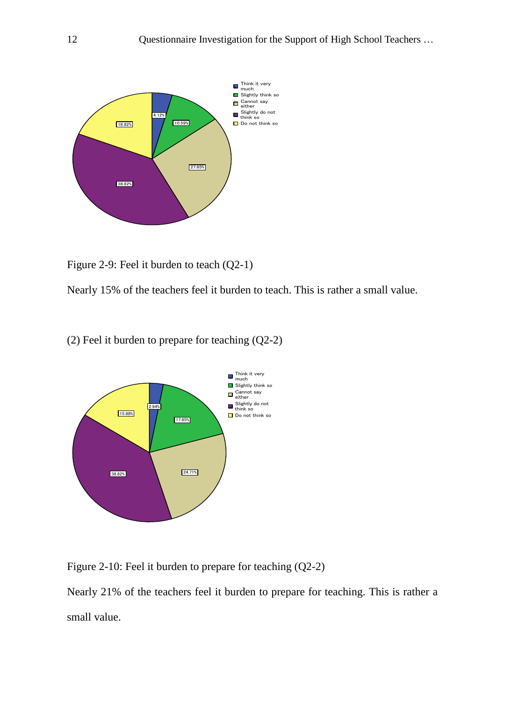

Figure 2-9: Feel it burden to teach (Q2-1)

Nearly 15% of the teachers feel it burden to teach. This is rather a small value.

(2) Feel it burden to prepare for teaching (Q2-2)



Figure 2-10: Feel it burden to prepare for teaching (Q2-2)

Nearly 21% of the teachers feel it burden to prepare for teaching. This is rather a small value.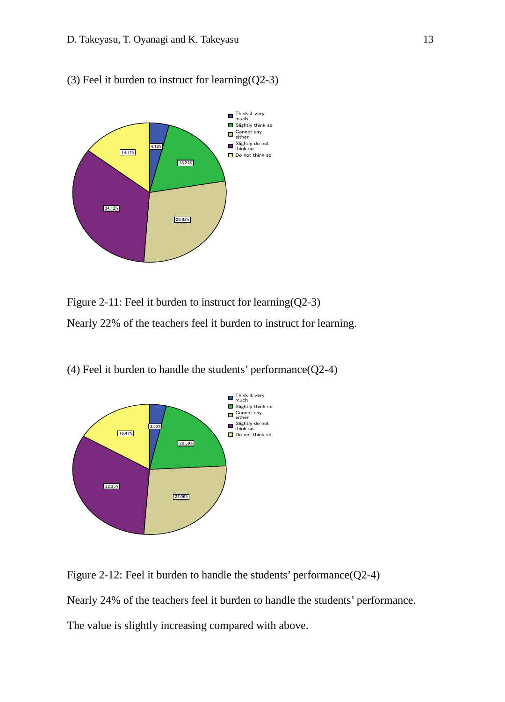(3) Feel it burden to instruct for learning(Q2-3)



Figure 2-11: Feel it burden to instruct for learning(Q2-3) Nearly 22% of the teachers feel it burden to instruct for learning.



(4) Feel it burden to handle the students' performance(Q2-4)

Figure 2-12: Feel it burden to handle the students' performance(Q2-4)

Nearly 24% of the teachers feel it burden to handle the students' performance.

The value is slightly increasing compared with above.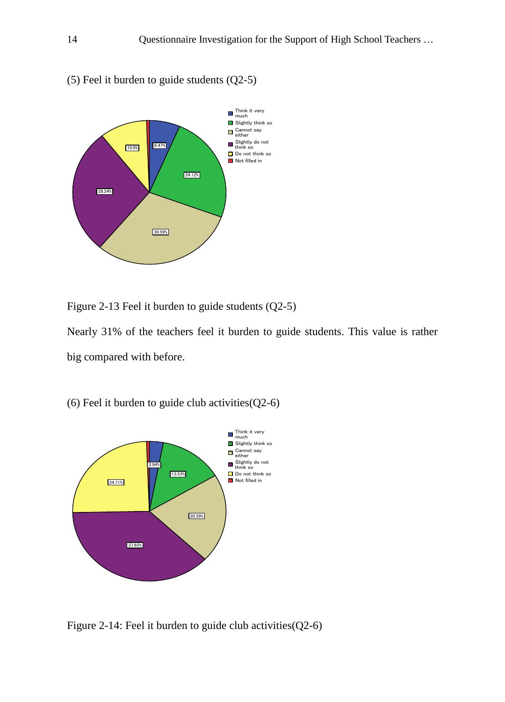

(5) Feel it burden to guide students (Q2-5)



Figure 2-13 Feel it burden to guide students (Q2-5)

Nearly 31% of the teachers feel it burden to guide students. This value is rather big compared with before.

(6) Feel it burden to guide club activities  $(Q2-6)$ 



Figure 2-14: Feel it burden to guide club activities(Q2-6)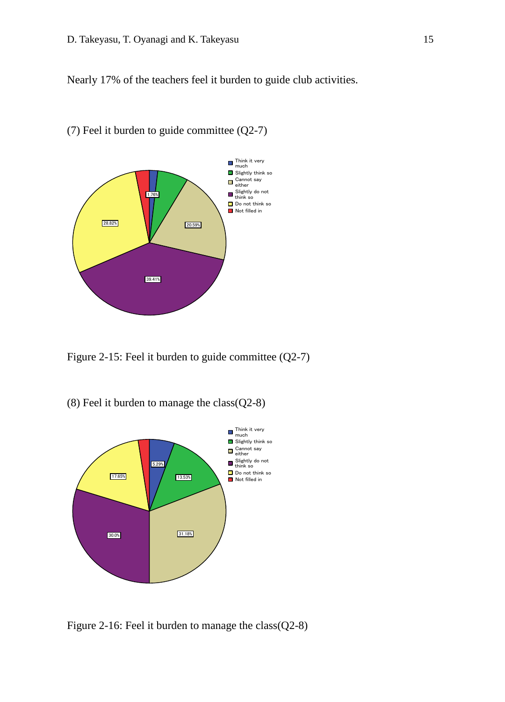Nearly 17% of the teachers feel it burden to guide club activities.



#### (7) Feel it burden to guide committee (Q2-7)

Figure 2-15: Feel it burden to guide committee (Q2-7)

(8) Feel it burden to manage the class(Q2-8)



Figure 2-16: Feel it burden to manage the class(Q2-8)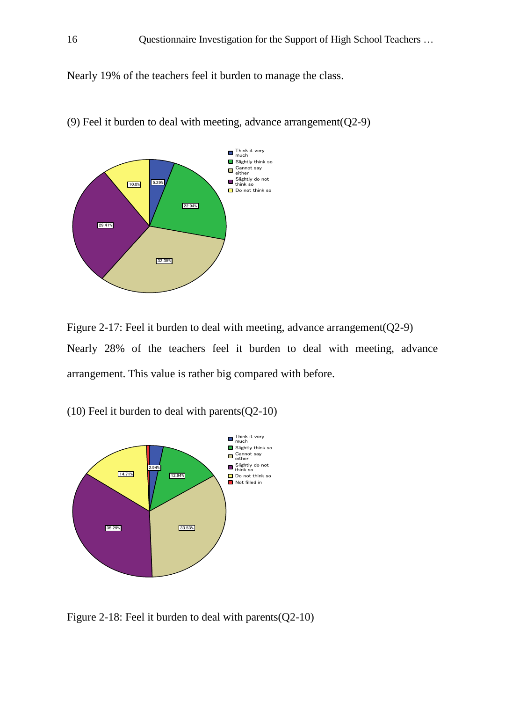Nearly 19% of the teachers feel it burden to manage the class.



(9) Feel it burden to deal with meeting, advance arrangement(Q2-9)

Figure 2-17: Feel it burden to deal with meeting, advance arrangement(Q2-9) Nearly 28% of the teachers feel it burden to deal with meeting, advance arrangement. This value is rather big compared with before.

(10) Feel it burden to deal with parents(Q2-10)



Figure 2-18: Feel it burden to deal with parents  $(Q2-10)$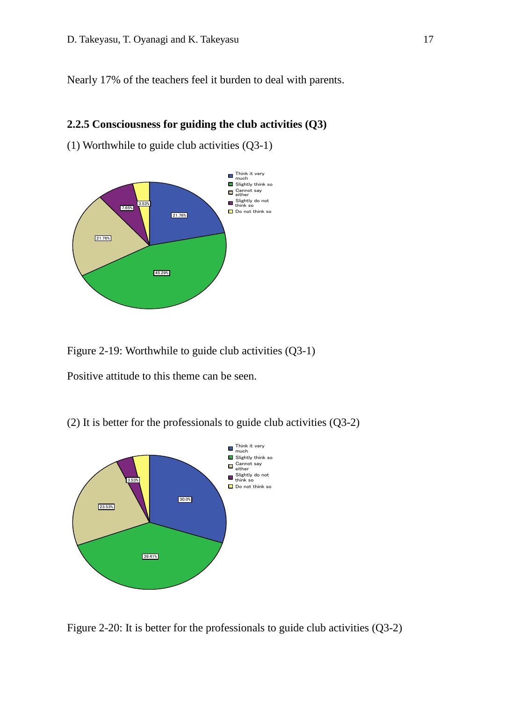Nearly 17% of the teachers feel it burden to deal with parents.

#### **2.2.5 Consciousness for guiding the club activities (Q3)**

(1) Worthwhile to guide club activities (Q3-1)



Figure 2-19: Worthwhile to guide club activities (Q3-1)

Positive attitude to this theme can be seen.

(2) It is better for the professionals to guide club activities (Q3-2)



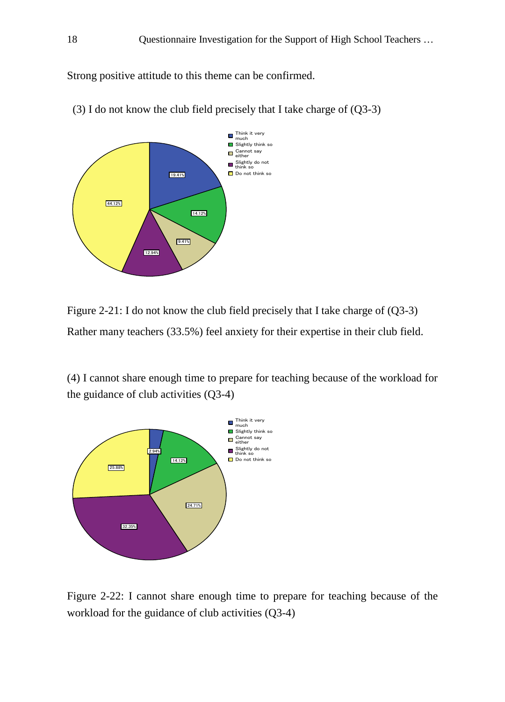Strong positive attitude to this theme can be confirmed.



(3) I do not know the club field precisely that I take charge of  $(Q3-3)$ 

Figure 2-21: I do not know the club field precisely that I take charge of (Q3-3) Rather many teachers (33.5%) feel anxiety for their expertise in their club field.

(4) I cannot share enough time to prepare for teaching because of the workload for the guidance of club activities (Q3-4)



Figure 2-22: I cannot share enough time to prepare for teaching because of the workload for the guidance of club activities (Q3-4)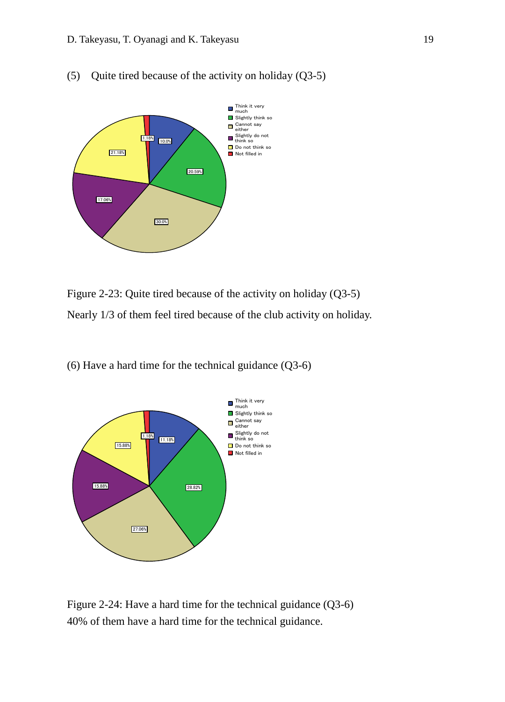

(5) Quite tired because of the activity on holiday (Q3-5)

Figure 2-23: Quite tired because of the activity on holiday (Q3-5) Nearly 1/3 of them feel tired because of the club activity on holiday.

(6) Have a hard time for the technical guidance (Q3-6)



Figure 2-24: Have a hard time for the technical guidance (Q3-6) 40% of them have a hard time for the technical guidance.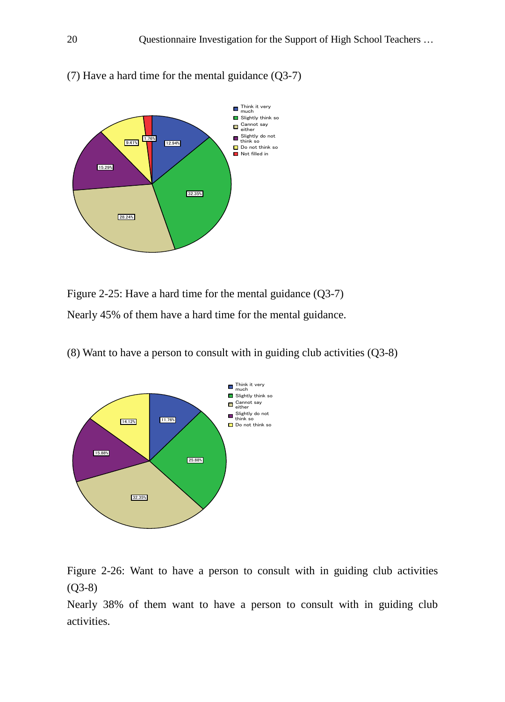

(7) Have a hard time for the mental guidance  $(Q3-7)$ 

Figure 2-25: Have a hard time for the mental guidance  $(Q3-7)$ Nearly 45% of them have a hard time for the mental guidance.

(8) Want to have a person to consult with in guiding club activities (Q3-8)



Figure 2-26: Want to have a person to consult with in guiding club activities (Q3-8)

Nearly 38% of them want to have a person to consult with in guiding club activities.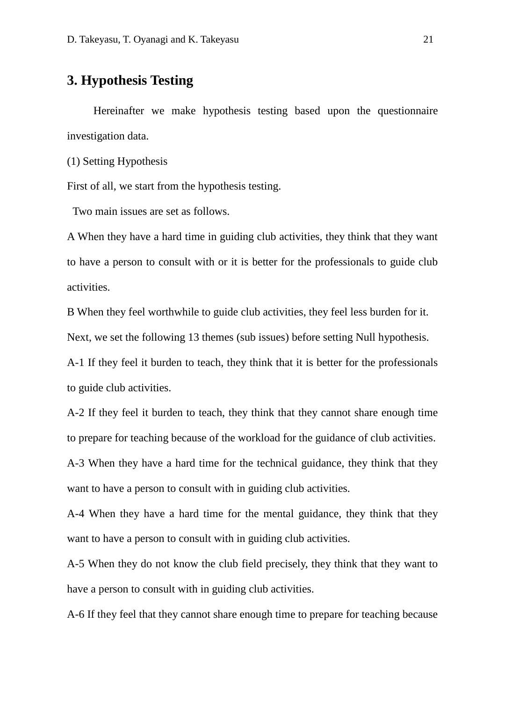## **3. Hypothesis Testing**

Hereinafter we make hypothesis testing based upon the questionnaire investigation data.

(1) Setting Hypothesis

First of all, we start from the hypothesis testing.

Two main issues are set as follows.

A When they have a hard time in guiding club activities, they think that they want to have a person to consult with or it is better for the professionals to guide club activities.

B When they feel worthwhile to guide club activities, they feel less burden for it.

Next, we set the following 13 themes (sub issues) before setting Null hypothesis.

A-1 If they feel it burden to teach, they think that it is better for the professionals to guide club activities.

A-2 If they feel it burden to teach, they think that they cannot share enough time to prepare for teaching because of the workload for the guidance of club activities.

A-3 When they have a hard time for the technical guidance, they think that they want to have a person to consult with in guiding club activities.

A-4 When they have a hard time for the mental guidance, they think that they want to have a person to consult with in guiding club activities.

A-5 When they do not know the club field precisely, they think that they want to have a person to consult with in guiding club activities.

A-6 If they feel that they cannot share enough time to prepare for teaching because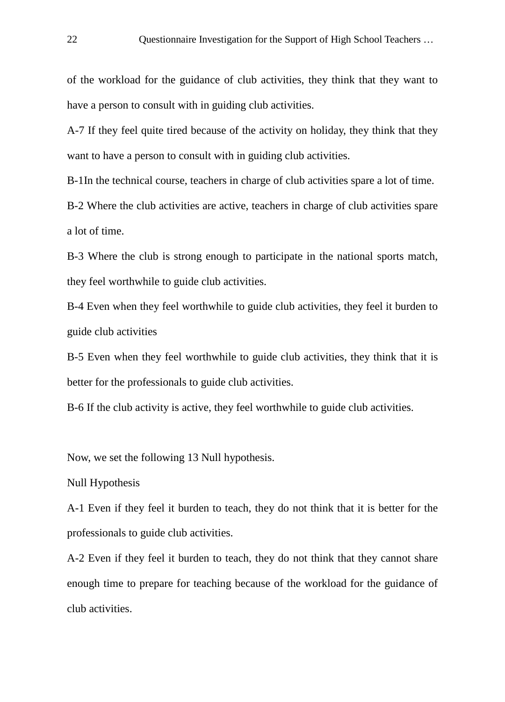of the workload for the guidance of club activities, they think that they want to have a person to consult with in guiding club activities.

A-7 If they feel quite tired because of the activity on holiday, they think that they want to have a person to consult with in guiding club activities.

B-1In the technical course, teachers in charge of club activities spare a lot of time.

B-2 Where the club activities are active, teachers in charge of club activities spare a lot of time.

B-3 Where the club is strong enough to participate in the national sports match, they feel worthwhile to guide club activities.

B-4 Even when they feel worthwhile to guide club activities, they feel it burden to guide club activities

B-5 Even when they feel worthwhile to guide club activities, they think that it is better for the professionals to guide club activities.

B-6 If the club activity is active, they feel worthwhile to guide club activities.

Now, we set the following 13 Null hypothesis.

#### Null Hypothesis

A-1 Even if they feel it burden to teach, they do not think that it is better for the professionals to guide club activities.

A-2 Even if they feel it burden to teach, they do not think that they cannot share enough time to prepare for teaching because of the workload for the guidance of club activities.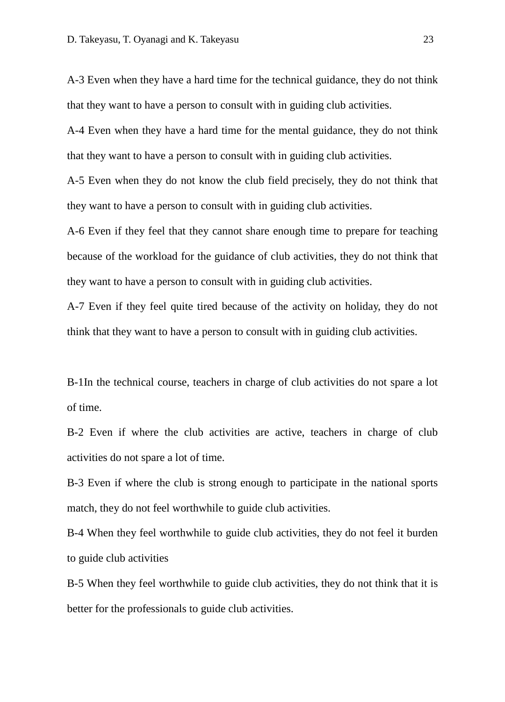A-3 Even when they have a hard time for the technical guidance, they do not think that they want to have a person to consult with in guiding club activities.

A-4 Even when they have a hard time for the mental guidance, they do not think that they want to have a person to consult with in guiding club activities.

A-5 Even when they do not know the club field precisely, they do not think that they want to have a person to consult with in guiding club activities.

A-6 Even if they feel that they cannot share enough time to prepare for teaching because of the workload for the guidance of club activities, they do not think that they want to have a person to consult with in guiding club activities.

A-7 Even if they feel quite tired because of the activity on holiday, they do not think that they want to have a person to consult with in guiding club activities.

B-1In the technical course, teachers in charge of club activities do not spare a lot of time.

B-2 Even if where the club activities are active, teachers in charge of club activities do not spare a lot of time.

B-3 Even if where the club is strong enough to participate in the national sports match, they do not feel worthwhile to guide club activities.

B-4 When they feel worthwhile to guide club activities, they do not feel it burden to guide club activities

B-5 When they feel worthwhile to guide club activities, they do not think that it is better for the professionals to guide club activities.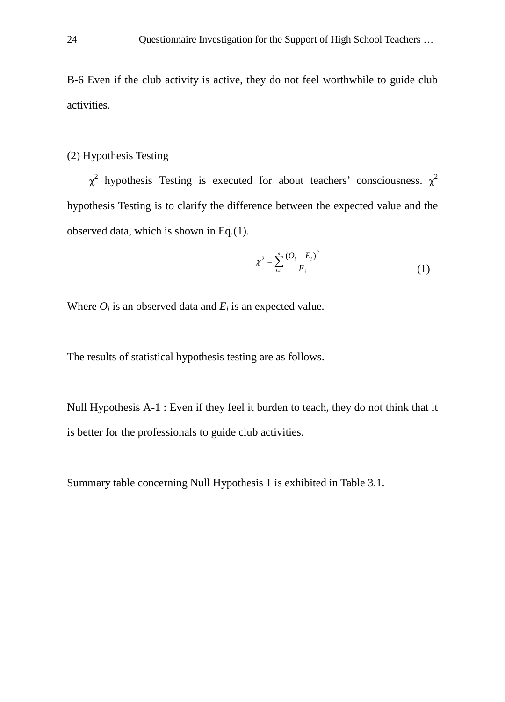B-6 Even if the club activity is active, they do not feel worthwhile to guide club activities.

#### (2) Hypothesis Testing

 $\chi^2$  hypothesis Testing is executed for about teachers' consciousness.  $\chi^2$ hypothesis Testing is to clarify the difference between the expected value and the observed data, which is shown in Eq.(1).

$$
\chi^2 = \sum_{i=1}^n \frac{(O_i - E_i)^2}{E_i} \tag{1}
$$

Where  $O_i$  is an observed data and  $E_i$  is an expected value.

The results of statistical hypothesis testing are as follows.

Null Hypothesis A-1 : Even if they feel it burden to teach, they do not think that it is better for the professionals to guide club activities.

Summary table concerning Null Hypothesis 1 is exhibited in Table 3.1.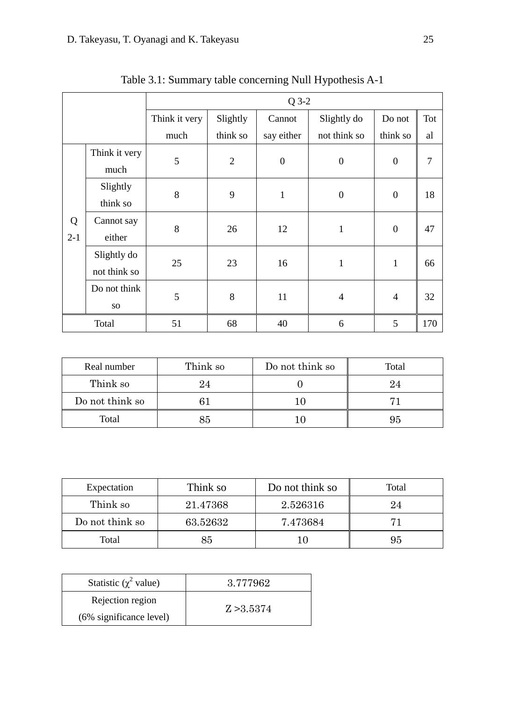| $Q$ 3-2 |                 |               |                |                  |                  |                  |     |
|---------|-----------------|---------------|----------------|------------------|------------------|------------------|-----|
|         |                 | Think it very | Slightly       | Cannot           | Slightly do      | Do not           | Tot |
|         |                 | much          | think so       | say either       | not think so     | think so         | al  |
|         | Think it very   | 5             | $\overline{2}$ | $\boldsymbol{0}$ | $\boldsymbol{0}$ | $\boldsymbol{0}$ | 7   |
|         | much            |               |                |                  |                  |                  |     |
|         | Slightly        | 8             | 9              | $\,1$            | $\boldsymbol{0}$ | $\boldsymbol{0}$ | 18  |
|         | think so        |               |                |                  |                  |                  |     |
| Q       | Cannot say      | 8             | 26             | 12               | $\mathbf{1}$     | $\boldsymbol{0}$ | 47  |
| $2-1$   | either          |               |                |                  |                  |                  |     |
|         | Slightly do     | 25            | 23             | 16               | $\mathbf{1}$     | $\mathbf{1}$     | 66  |
|         | not think so    |               |                |                  |                  |                  |     |
|         | Do not think    | 5             | 8              | 11               | $\overline{4}$   | $\overline{4}$   | 32  |
|         | SO <sub>1</sub> |               |                |                  |                  |                  |     |
|         | Total           | 51            | 68             | 40               | 6                | 5                | 170 |

Table 3.1: Summary table concerning Null Hypothesis A-1

| Real number     | Think so | Do not think so | Total |
|-----------------|----------|-----------------|-------|
| Think so        | 24       |                 |       |
| Do not think so |          |                 |       |
| Total<br>85     |          |                 |       |

| Expectation     | Think so | Do not think so | Total |
|-----------------|----------|-----------------|-------|
| Think so        | 21.47368 | 2.526316        | 24    |
| Do not think so | 63.52632 | 7.473684        |       |
| Total<br>85     |          |                 | 95    |

| Statistic ( $\chi^2$ value) | 3.777962   |
|-----------------------------|------------|
| Rejection region            |            |
| (6% significance level)     | Z > 3.5374 |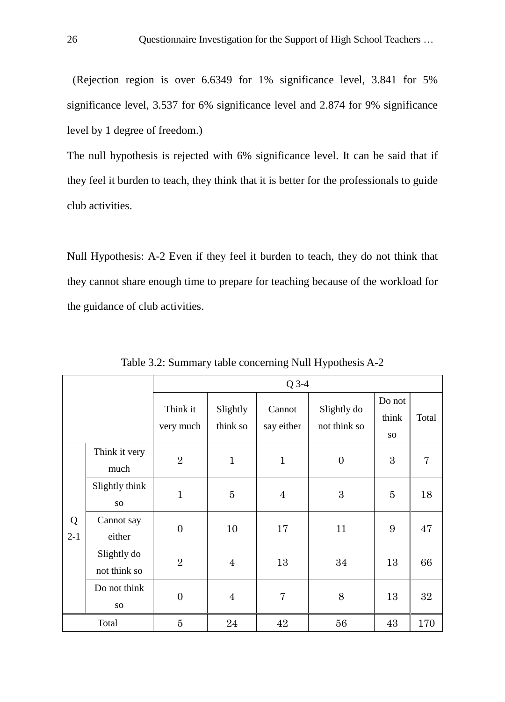(Rejection region is over 6.6349 for 1% significance level, 3.841 for 5% significance level, 3.537 for 6% significance level and 2.874 for 9% significance level by 1 degree of freedom.)

The null hypothesis is rejected with 6% significance level. It can be said that if they feel it burden to teach, they think that it is better for the professionals to guide club activities.

Null Hypothesis: A-2 Even if they feel it burden to teach, they do not think that they cannot share enough time to prepare for teaching because of the workload for the guidance of club activities.

|            | $Q$ 3-4                           |                       |                      |                      |                             |                              |       |
|------------|-----------------------------------|-----------------------|----------------------|----------------------|-----------------------------|------------------------------|-------|
|            |                                   | Think it<br>very much | Slightly<br>think so | Cannot<br>say either | Slightly do<br>not think so | Do not<br>think<br><b>SO</b> | Total |
|            | Think it very<br>much             | $\overline{2}$        | $\mathbf{1}$         | $\mathbf{1}$         | $\overline{0}$              | 3                            | 7     |
|            | Slightly think<br>SO <sub>1</sub> | $\mathbf{1}$          | $\overline{5}$       | $\overline{4}$       | 3                           | 5                            | 18    |
| Q<br>$2-1$ | Cannot say<br>either              | $\overline{0}$        | 10                   | 17                   | 11                          | 9                            | 47    |
|            | Slightly do<br>not think so       | $\overline{2}$        | $\overline{4}$       | 13                   | 34                          | 13                           | 66    |
|            | Do not think<br>SO <sub>1</sub>   | $\overline{0}$        | $\overline{4}$       | $\overline{7}$       | 8                           | 13                           | 32    |
| Total      |                                   | $\overline{5}$        | 24                   | 42                   | 56                          | 43                           | 170   |

Table 3.2: Summary table concerning Null Hypothesis A-2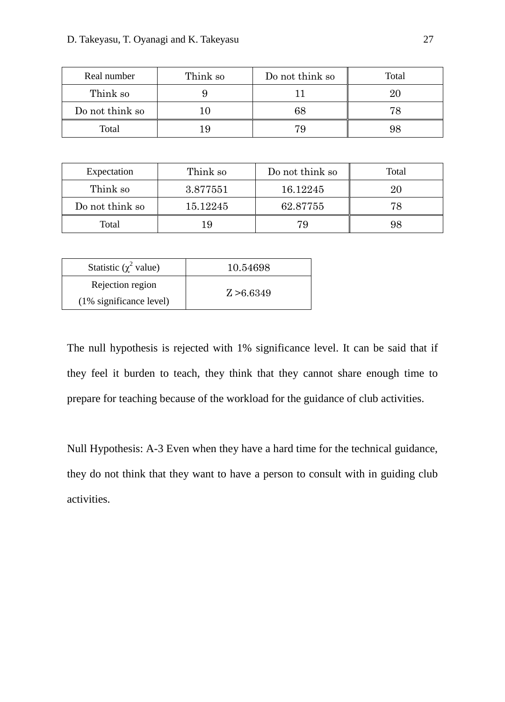| Real number     | Think so | Do not think so | Total |
|-----------------|----------|-----------------|-------|
| Think so        |          |                 |       |
| Do not think so |          |                 |       |
| Total           |          |                 |       |

| Expectation                 | Think so | Do not think so | Total |
|-----------------------------|----------|-----------------|-------|
| Think so                    | 3.877551 | 16.12245        | 20    |
| Do not think so<br>15.12245 |          | 62.87755        | 78    |
| Total<br>19                 |          | 79              | 98    |

| Statistic ( $\chi^2$ value) | 10.54698   |
|-----------------------------|------------|
| Rejection region            | Z > 6.6349 |
| $(1\%$ significance level)  |            |

The null hypothesis is rejected with 1% significance level. It can be said that if they feel it burden to teach, they think that they cannot share enough time to prepare for teaching because of the workload for the guidance of club activities.

Null Hypothesis: A-3 Even when they have a hard time for the technical guidance, they do not think that they want to have a person to consult with in guiding club activities.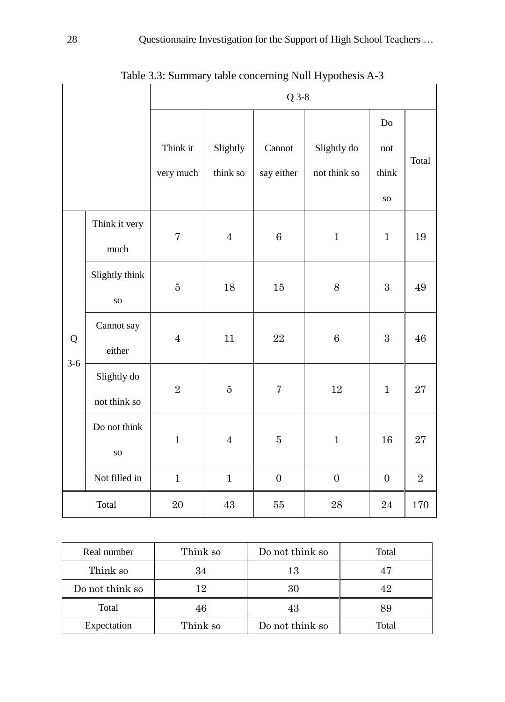|            |                | $Q$ 3-8        |                |                |                  |                  |                |
|------------|----------------|----------------|----------------|----------------|------------------|------------------|----------------|
|            |                |                |                |                |                  | Do               |                |
|            |                | Think it       | Slightly       | Cannot         | Slightly do      | not              | Total          |
|            |                | very much      | think so       | say either     | not think so     | think            |                |
|            |                |                |                |                |                  | ${\bf SO}$       |                |
|            | Think it very  | $\overline{7}$ | $\overline{4}$ | 6              | $\mathbf{1}$     | $\mathbf{1}$     | 19             |
|            | much           |                |                |                |                  |                  |                |
|            | Slightly think | $\bf 5$        | 18             | 15             | 8                | $\overline{3}$   | 49             |
|            | ${\bf SO}$     |                |                |                |                  |                  |                |
| Q<br>$3-6$ | Cannot say     | $\overline{4}$ | 11             | 22             | $\,6\,$          | 3                | 46             |
|            | either         |                |                |                |                  |                  |                |
|            | Slightly do    | $\overline{2}$ | $\bf 5$        | $\sqrt{ }$     | 12               | $\mathbf{1}$     | 27             |
|            | not think so   |                |                |                |                  |                  |                |
|            | Do not think   | $\mathbf{1}$   | $\overline{4}$ | $\overline{5}$ | $\mathbf 1$      | 16               | 27             |
|            | <b>SO</b>      |                |                |                |                  |                  |                |
|            | Not filled in  | $\mathbf{1}$   | $\mathbf{1}$   | $\overline{0}$ | $\boldsymbol{0}$ | $\boldsymbol{0}$ | $\overline{2}$ |
| Total      |                | $20\,$         | $43\,$         | 55             | 28               | 24               | 170            |

Table 3.3: Summary table concerning Null Hypothesis A-3

| Real number             | Think so | Do not think so | Total |
|-------------------------|----------|-----------------|-------|
| Think so                | 34       | 13              |       |
| Do not think so         | 12       |                 |       |
| Total                   | 46       | 43              |       |
| Think so<br>Expectation |          | Do not think so | Total |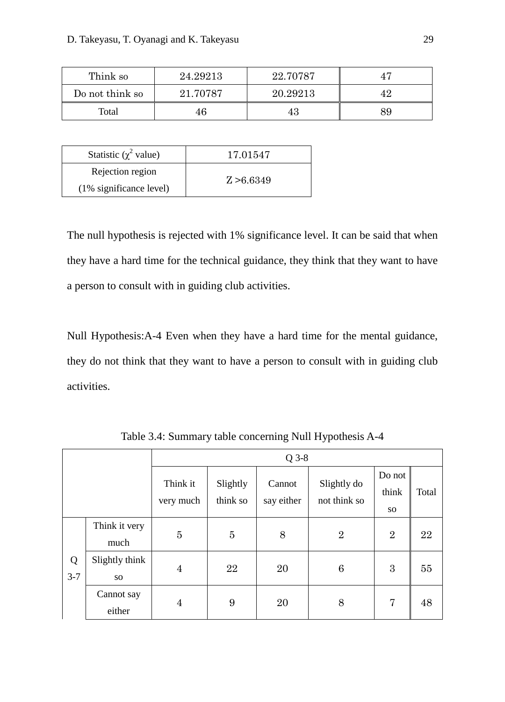| Think so        | 24.29213 | 22.70787 |    |
|-----------------|----------|----------|----|
| Do not think so | 21.70787 | 20.29213 |    |
| Total<br>46     |          |          | 89 |

| Statistic ( $\chi^2$ value) | 17.01547   |  |
|-----------------------------|------------|--|
| Rejection region            |            |  |
| (1% significance level)     | Z > 6.6349 |  |

The null hypothesis is rejected with 1% significance level. It can be said that when they have a hard time for the technical guidance, they think that they want to have a person to consult with in guiding club activities.

Null Hypothesis:A-4 Even when they have a hard time for the mental guidance, they do not think that they want to have a person to consult with in guiding club activities.

|              |                       | $Q$ 3-8               |                      |                      |                             |                        |       |
|--------------|-----------------------|-----------------------|----------------------|----------------------|-----------------------------|------------------------|-------|
|              |                       | Think it<br>very much | Slightly<br>think so | Cannot<br>say either | Slightly do<br>not think so | Do not<br>think<br>SO. | Total |
|              | Think it very<br>much | 5                     | $\overline{5}$       | 8                    | $\overline{2}$              | $\overline{2}$         | 22    |
| Q<br>$3 - 7$ | Slightly think<br>SO. | 4                     | 22                   | 20                   | 6                           | 3                      | 55    |
|              | Cannot say<br>either  | $\overline{4}$        | 9                    | 20                   | 8                           | $\overline{7}$         | 48    |

Table 3.4: Summary table concerning Null Hypothesis A-4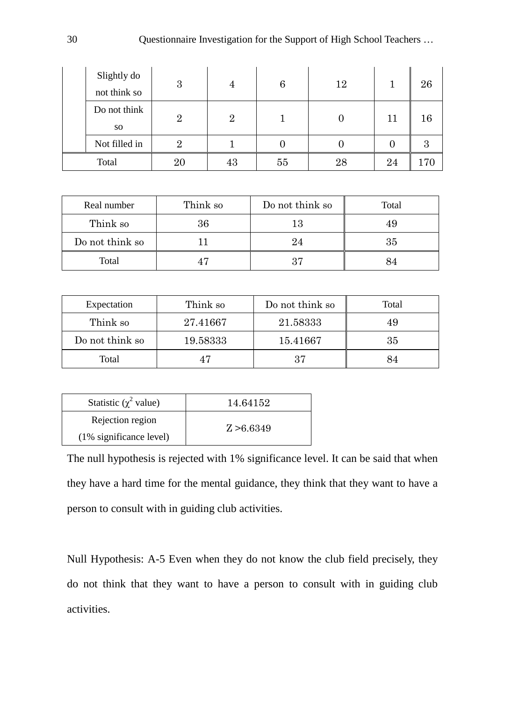| Slightly do<br>not think so | 3              |                | 6  | 12 |    | 26 |
|-----------------------------|----------------|----------------|----|----|----|----|
| Do not think<br>SO.         | $\overline{2}$ | $\overline{2}$ |    |    | 11 | 16 |
| Not filled in               | 2              |                |    |    |    |    |
| Total                       |                | 43             | 55 | 28 | 24 |    |

| Real number     | Think so | Do not think so | Total |
|-----------------|----------|-----------------|-------|
| Think so        | 36       | 13              |       |
| Do not think so |          | 24              | 35    |
| Total           |          | 37              |       |

| Expectation     | Think so | Do not think so |    |
|-----------------|----------|-----------------|----|
| Think so        | 27.41667 | 21.58333        | 49 |
| Do not think so | 19.58333 | 15.41667        | 35 |
| Total           | 47       | 37              |    |

| Statistic ( $\chi^2$ value) | 14.64152   |
|-----------------------------|------------|
| Rejection region            | Z > 6.6349 |
| (1% significance level)     |            |

The null hypothesis is rejected with 1% significance level. It can be said that when they have a hard time for the mental guidance, they think that they want to have a person to consult with in guiding club activities.

Null Hypothesis: A-5 Even when they do not know the club field precisely, they do not think that they want to have a person to consult with in guiding club activities.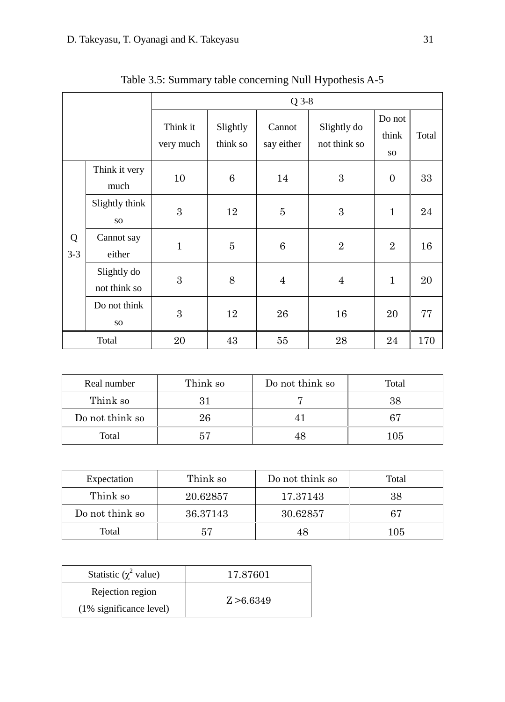|              |                             | $Q$ 3-8               |                      |                      |                             |                        |       |
|--------------|-----------------------------|-----------------------|----------------------|----------------------|-----------------------------|------------------------|-------|
|              |                             | Think it<br>very much | Slightly<br>think so | Cannot<br>say either | Slightly do<br>not think so | Do not<br>think<br>SO. | Total |
|              | Think it very<br>much       | 10                    | 6                    | 14                   | 3                           | $\overline{0}$         | 33    |
|              | Slightly think<br>SO.       | 3                     | 12                   | $\overline{5}$       | 3                           | $\mathbf{1}$           | 24    |
| Q<br>$3 - 3$ | Cannot say<br>either        | $\mathbf{1}$          | $\overline{5}$       | 6                    | $\overline{2}$              | $\overline{2}$         | 16    |
|              | Slightly do<br>not think so | 3                     | 8                    | $\overline{4}$       | $\overline{4}$              | $\mathbf{1}$           | 20    |
|              | Do not think<br>SO.         | 3                     | 12                   | 26                   | 16                          | 20                     | 77    |
|              | Total                       | 20                    | 43                   | 55                   | 28                          | 24                     | 170   |

Table 3.5: Summary table concerning Null Hypothesis A-5

| Real number     | Think so | Do not think so | Total |
|-----------------|----------|-----------------|-------|
| Think so        |          |                 |       |
| Do not think so | 26       |                 |       |
| Total           |          |                 | 105   |

| Expectation     | Think so | Do not think so | Total |
|-----------------|----------|-----------------|-------|
| Think so        | 20.62857 | 17.37143        | 38    |
| Do not think so | 36.37143 | 30.62857        | 67    |
| Total           | 57       |                 | 105   |

| Statistic ( $\chi^2$ value) | 17.87601   |
|-----------------------------|------------|
| Rejection region            |            |
| $(1\%$ significance level)  | Z > 6.6349 |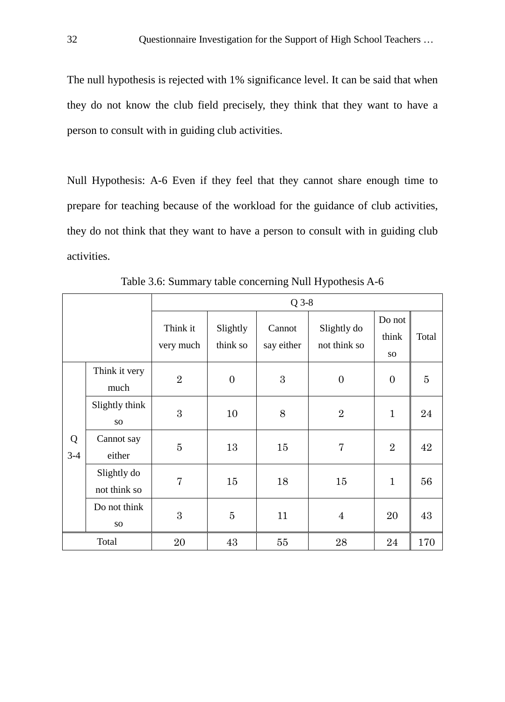The null hypothesis is rejected with 1% significance level. It can be said that when they do not know the club field precisely, they think that they want to have a person to consult with in guiding club activities.

Null Hypothesis: A-6 Even if they feel that they cannot share enough time to prepare for teaching because of the workload for the guidance of club activities, they do not think that they want to have a person to consult with in guiding club activities.

|            |                                 | $Q$ 3-8               |                      |                      |                             |                        |                |
|------------|---------------------------------|-----------------------|----------------------|----------------------|-----------------------------|------------------------|----------------|
|            |                                 | Think it<br>very much | Slightly<br>think so | Cannot<br>say either | Slightly do<br>not think so | Do not<br>think<br>SO. | Total          |
|            | Think it very<br>much           | $\overline{2}$        | $\overline{0}$       | 3                    | $\boldsymbol{0}$            | $\overline{0}$         | $\overline{5}$ |
|            | Slightly think<br><b>SO</b>     | 3                     | 10                   | 8                    | $\overline{2}$              | $\mathbf{1}$           | 24             |
| Q<br>$3-4$ | Cannot say<br>either            | $\overline{5}$        | 13                   | 15                   | $\overline{7}$              | $\overline{2}$         | 42             |
|            | Slightly do<br>not think so     | $\overline{7}$        | 15                   | 18                   | 15                          | $\mathbf{1}$           | 56             |
|            | Do not think<br>SO <sub>1</sub> | 3                     | $\overline{5}$       | 11                   | $\overline{4}$              | 20                     | 43             |
|            | Total                           | 20                    | 43                   | 55                   | 28                          | 24                     | 170            |

Table 3.6: Summary table concerning Null Hypothesis A-6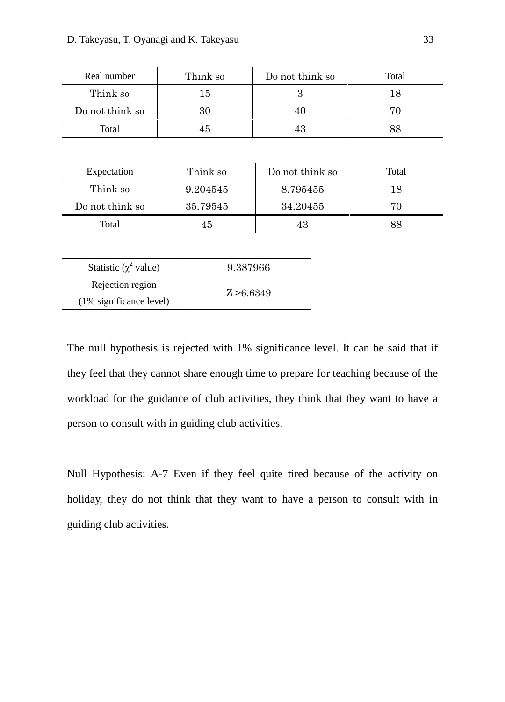| Real number     | Think so<br>Do not think so |  | Total |
|-----------------|-----------------------------|--|-------|
| Think so        | ۱5                          |  |       |
| Do not think so | 30                          |  |       |
| Total           | 45                          |  |       |

| Expectation     | Think so | Do not think so | Total |
|-----------------|----------|-----------------|-------|
| Think so        | 9.204545 | 8.795455        | 18    |
| Do not think so | 35.79545 | 34.20455        | 70    |
| Total           | 45       |                 | 88    |

| Statistic ( $\chi^2$ value) | 9.387966   |
|-----------------------------|------------|
| Rejection region            | Z > 6.6349 |
| $(1\%$ significance level)  |            |

The null hypothesis is rejected with 1% significance level. It can be said that if they feel that they cannot share enough time to prepare for teaching because of the workload for the guidance of club activities, they think that they want to have a person to consult with in guiding club activities.

Null Hypothesis: A-7 Even if they feel quite tired because of the activity on holiday, they do not think that they want to have a person to consult with in guiding club activities.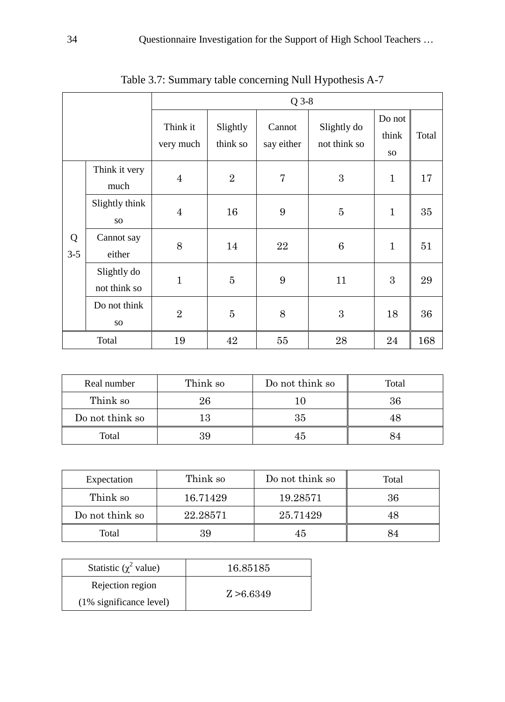|              |                             |                       |                      | $Q$ 3-8              |                             |                       |       |
|--------------|-----------------------------|-----------------------|----------------------|----------------------|-----------------------------|-----------------------|-------|
|              |                             | Think it<br>very much | Slightly<br>think so | Cannot<br>say either | Slightly do<br>not think so | Do not<br>think<br>SO | Total |
|              | Think it very<br>much       | $\overline{4}$        | $\overline{2}$       | $\overline{7}$       | 3                           | $\mathbf{1}$          | 17    |
|              | Slightly think<br>SO.       | $\overline{4}$        | 16                   | 9                    | $\overline{5}$              | $\mathbf{1}$          | 35    |
| Q<br>$3 - 5$ | Cannot say<br>either        | 8                     | 14                   | 22                   | 6                           | $\mathbf{1}$          | 51    |
|              | Slightly do<br>not think so | $\mathbf{1}$          | $\bf 5$              | 9                    | 11                          | 3                     | 29    |
|              | Do not think<br><b>SO</b>   | $\overline{2}$        | $\overline{5}$       | 8                    | 3                           | 18                    | 36    |
|              | Total                       | 19                    | 42                   | 55                   | 28                          | 24                    | 168   |

Table 3.7: Summary table concerning Null Hypothesis A-7

| Real number     | Think so | Do not think so | Total |
|-----------------|----------|-----------------|-------|
| Think so        | 26       |                 |       |
| Do not think so |          | 35              |       |
| Total           | 39       | 45              |       |

| Expectation     | Think so | Do not think so | Total |
|-----------------|----------|-----------------|-------|
| Think so        | 16.71429 | 19.28571        | 36    |
| Do not think so | 22.28571 | 25.71429        |       |
| Total           | 39       |                 |       |

| Statistic $(\chi^2$ value) | 16.85185   |
|----------------------------|------------|
| Rejection region           | Z > 6.6349 |
| $(1\%$ significance level) |            |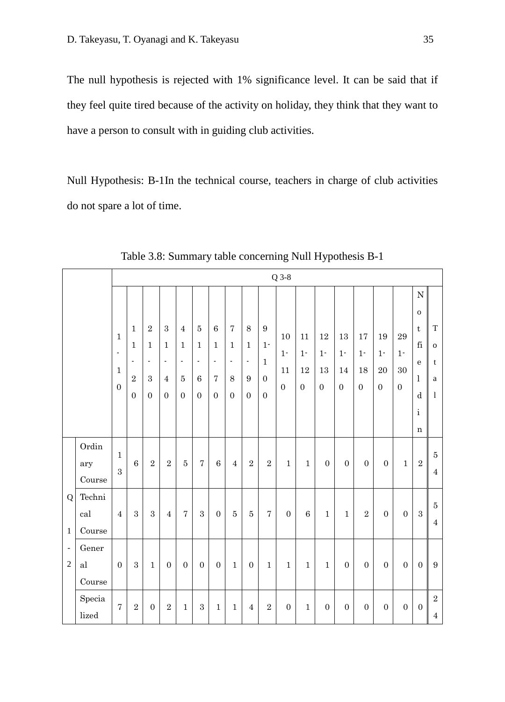The null hypothesis is rejected with 1% significance level. It can be said that if they feel quite tired because of the activity on holiday, they think that they want to have a person to consult with in guiding club activities.

Null Hypothesis: B-1In the technical course, teachers in charge of club activities do not spare a lot of time.

|                                                                 |                         |                                                                              |                                                                                              |                                                                               |                                                                                            |                                                                                           |                                                                               |                                                                                           |                                                                                 |                                                                     |                                                              | $Q$ 3-8                           |                                     |                                     |                                     |                                   |                                   |                                       |                                                                                                                            |                                    |
|-----------------------------------------------------------------|-------------------------|------------------------------------------------------------------------------|----------------------------------------------------------------------------------------------|-------------------------------------------------------------------------------|--------------------------------------------------------------------------------------------|-------------------------------------------------------------------------------------------|-------------------------------------------------------------------------------|-------------------------------------------------------------------------------------------|---------------------------------------------------------------------------------|---------------------------------------------------------------------|--------------------------------------------------------------|-----------------------------------|-------------------------------------|-------------------------------------|-------------------------------------|-----------------------------------|-----------------------------------|---------------------------------------|----------------------------------------------------------------------------------------------------------------------------|------------------------------------|
|                                                                 |                         | $\mathbf{1}$<br>$\overline{\phantom{a}}$<br>$\mathbf{1}$<br>$\boldsymbol{0}$ | $\mathbf{1}$<br>$\mathbf{1}$<br>$\overline{\phantom{a}}$<br>$\overline{2}$<br>$\overline{0}$ | $\sqrt{2}$<br>$\mathbf{1}$<br>$\overline{\phantom{a}}$<br>3<br>$\overline{0}$ | $\sqrt{3}$<br>$\mathbf{1}$<br>$\overline{\phantom{a}}$<br>$\overline{4}$<br>$\overline{0}$ | $\overline{4}$<br>$\mathbf{1}$<br>$\overline{\phantom{a}}$<br>$\bf 5$<br>$\boldsymbol{0}$ | $\overline{5}$<br>$\mathbf{1}$<br>$\blacksquare$<br>$\,6\,$<br>$\overline{0}$ | $\,6\,$<br>$\mathbf{1}$<br>$\overline{\phantom{a}}$<br>$\overline{7}$<br>$\boldsymbol{0}$ | $\overline{7}$<br>$\mathbf{1}$<br>$\overline{\phantom{a}}$<br>8<br>$\mathbf{0}$ | $\,8\,$<br>$1\,$<br>$\overline{\phantom{a}}$<br>9<br>$\overline{0}$ | 9<br>$1 -$<br>$\mathbf{1}$<br>$\overline{0}$<br>$\mathbf{0}$ | 10<br>$1 -$<br>11<br>$\mathbf{0}$ | 11<br>$1 -$<br>12<br>$\overline{0}$ | 12<br>$1 -$<br>13<br>$\overline{0}$ | 13<br>$1 -$<br>14<br>$\overline{0}$ | 17<br>$1 -$<br>18<br>$\mathbf{0}$ | 19<br>$1 -$<br>20<br>$\mathbf{0}$ | 29<br>$1 -$<br>30<br>$\boldsymbol{0}$ | ${\bf N}$<br>$\mathbf O$<br>$\mathbf t$<br>$\rm{fi}$<br>${\bf e}$<br>$\mathbf{1}$<br>$\mathbf d$<br>$\rm i$<br>$\mathbf n$ | T<br>$\mathbf{o}$<br>t<br>a<br>1   |
|                                                                 | Ordin<br>ary<br>Course  | $\mathbf{1}$<br>3                                                            | $\,6\,$                                                                                      | $\sqrt{2}$                                                                    | $\sqrt{2}$                                                                                 | $\bf 5$                                                                                   | $\overline{7}$                                                                | $\,6\,$                                                                                   | $\overline{4}$                                                                  | $\sqrt{2}$                                                          | $\sqrt{2}$                                                   | $\mathbf{1}$                      | $\mathbf{1}$                        | $\boldsymbol{0}$                    | $\boldsymbol{0}$                    | $\boldsymbol{0}$                  | $\overline{0}$                    | $\mathbf{1}$                          | $\,2$                                                                                                                      | $\overline{5}$<br>$\boldsymbol{4}$ |
| Q<br>$\mathbf{1}$<br>$\overline{\phantom{a}}$<br>$\overline{2}$ | Techni<br>cal<br>Course | $\overline{4}$                                                               | $\overline{3}$                                                                               | 3                                                                             | $\overline{4}$                                                                             | $\overline{7}$                                                                            | $\sqrt{3}$                                                                    | $\mathbf{0}$                                                                              | $\overline{5}$                                                                  | $\bf 5$                                                             | $\overline{7}$                                               | $\boldsymbol{0}$                  | $\,6\,$                             | $\mathbf{1}$                        | $\mathbf{1}$                        | $\sqrt{2}$                        | $\boldsymbol{0}$                  | $\overline{0}$                        | $\sqrt{3}$                                                                                                                 | $\bf 5$<br>$\overline{4}$          |
|                                                                 | Gener<br>al<br>Course   | $\mathbf{0}$                                                                 | $\,3$                                                                                        | $\mathbf{1}$                                                                  | $\boldsymbol{0}$                                                                           | $\boldsymbol{0}$                                                                          | $\boldsymbol{0}$                                                              | $\boldsymbol{0}$                                                                          | $\mathbf{1}$                                                                    | $\overline{0}$                                                      | $\mathbf 1$                                                  | $\,1\,$                           | $\mathbf{1}$                        | $\mathbf{1}$                        | $\boldsymbol{0}$                    | $\overline{0}$                    | $\overline{0}$                    | $\overline{0}$                        | $\boldsymbol{0}$                                                                                                           | 9                                  |
|                                                                 | Specia<br>lized         | $\overline{7}$                                                               | $\sqrt{2}$                                                                                   | $\overline{0}$                                                                | $\,2$                                                                                      | $\mathbf{1}$                                                                              | $\,3$                                                                         | $\mathbf{1}$                                                                              | $\mathbf{1}$                                                                    | $\overline{4}$                                                      | $\overline{2}$                                               | $\boldsymbol{0}$                  | $\mathbf{1}$                        | $\boldsymbol{0}$                    | $\boldsymbol{0}$                    | $\boldsymbol{0}$                  | $\boldsymbol{0}$                  | $\boldsymbol{0}$                      | $\boldsymbol{0}$                                                                                                           | $\sqrt{2}$<br>$\overline{4}$       |

Table 3.8: Summary table concerning Null Hypothesis B-1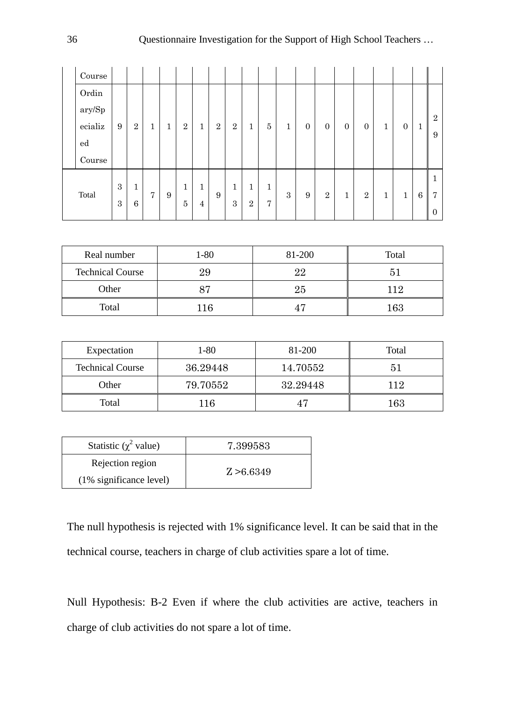| Course                                   |            |              |                |   |                |                |                |                |                |                |              |              |                |              |                |              |              |         |                       |
|------------------------------------------|------------|--------------|----------------|---|----------------|----------------|----------------|----------------|----------------|----------------|--------------|--------------|----------------|--------------|----------------|--------------|--------------|---------|-----------------------|
| Ordin                                    |            |              |                |   |                |                |                |                |                |                |              |              |                |              |                |              |              |         |                       |
| $\operatorname{ary}/\!\operatorname{Sp}$ |            |              |                |   |                |                |                |                |                |                |              |              |                |              |                |              |              |         |                       |
| ecializ                                  | 9          | $\sqrt{2}$   | $\mathbf{1}$   | 1 | $\sqrt{2}$     | $\mathbf{1}$   | $\overline{2}$ | $\overline{2}$ | $\mathbf{1}$   | $\overline{5}$ | $\mathbf{1}$ | $\mathbf{0}$ | $\overline{0}$ | $\mathbf{0}$ | $\overline{0}$ | $\mathbf{1}$ | $\mathbf{0}$ | $\perp$ | $\boldsymbol{2}$<br>9 |
| $_{\rm ed}$                              |            |              |                |   |                |                |                |                |                |                |              |              |                |              |                |              |              |         |                       |
| Course                                   |            |              |                |   |                |                |                |                |                |                |              |              |                |              |                |              |              |         |                       |
|                                          |            |              |                |   |                |                |                |                |                |                |              |              |                |              |                |              |              |         | 1                     |
| Total                                    | $\sqrt{3}$ | $\mathbf{1}$ | $\overline{7}$ | 9 | $\mathbf{1}$   | $\mathbf{1}$   | 9              | $\mathbf{1}$   | $\mathbf{1}$   | $\mathbf{1}$   | $\sqrt{3}$   | 9            | $\overline{2}$ | $\mathbf{1}$ | $\overline{2}$ | $\mathbf{1}$ | $\mathbf{1}$ | 6       | 7                     |
|                                          | 3          | 6            |                |   | $\overline{5}$ | $\overline{4}$ |                | 3              | $\overline{2}$ | $\overline{7}$ |              |              |                |              |                |              |              |         | $\mathbf{0}$          |

| Real number             | 1-80 | 81-200         | Total   |
|-------------------------|------|----------------|---------|
| <b>Technical Course</b> | 29   | 22             |         |
| Other                   | 87   | $25\,$         | 119     |
| Total                   | 116  | 4 <sup>r</sup> | $163\,$ |

| Expectation             | 1-80     | 81-200   | Total |
|-------------------------|----------|----------|-------|
| <b>Technical Course</b> | 36.29448 | 14.70552 | 51    |
| Other                   | 79.70552 | 32.29448 | 112   |
| Total                   | 116      |          | 163   |

| Statistic ( $\chi^2$ value) | 7.399583   |
|-----------------------------|------------|
| Rejection region            |            |
| $(1\%$ significance level)  | Z > 6.6349 |

The null hypothesis is rejected with 1% significance level. It can be said that in the technical course, teachers in charge of club activities spare a lot of time.

Null Hypothesis: B-2 Even if where the club activities are active, teachers in charge of club activities do not spare a lot of time.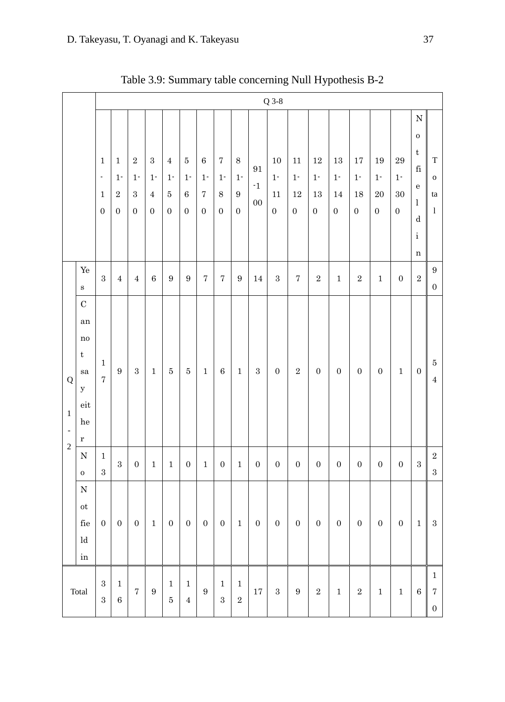|                                                  |                                                                                                                  |                                                                              | $Q$ 3-8                                            |                                                         |                                                           |                                                                     |                                                 |                                                                        |                                                    |                                                         |                                               |                                                 |                                              |                                                     |                                           |                                                     |                                                               |                                                                     |                                                                                                                                        |                                                       |
|--------------------------------------------------|------------------------------------------------------------------------------------------------------------------|------------------------------------------------------------------------------|----------------------------------------------------|---------------------------------------------------------|-----------------------------------------------------------|---------------------------------------------------------------------|-------------------------------------------------|------------------------------------------------------------------------|----------------------------------------------------|---------------------------------------------------------|-----------------------------------------------|-------------------------------------------------|----------------------------------------------|-----------------------------------------------------|-------------------------------------------|-----------------------------------------------------|---------------------------------------------------------------|---------------------------------------------------------------------|----------------------------------------------------------------------------------------------------------------------------------------|-------------------------------------------------------|
|                                                  |                                                                                                                  | $\mathbf{1}$<br>$\overline{\phantom{a}}$<br>$\mathbf{1}$<br>$\boldsymbol{0}$ | $\mathbf{1}$<br>$1 -$<br>$\,2$<br>$\boldsymbol{0}$ | $\,2$<br>$1\overline{ }$<br>$\,3\,$<br>$\boldsymbol{0}$ | $\sqrt{3}$<br>$1 -$<br>$\overline{4}$<br>$\boldsymbol{0}$ | $\,4\,$<br>$1\ensuremath{^\text{-}}$<br>$\bf 5$<br>$\boldsymbol{0}$ | $\bf 5$<br>$1 -$<br>$\,6\,$<br>$\boldsymbol{0}$ | $\,6\,$<br>$1\ensuremath{^\text{-}}$<br>$\sqrt{ }$<br>$\boldsymbol{0}$ | $\sqrt{ }$<br>$1 -$<br>$\,8\,$<br>$\boldsymbol{0}$ | $\,8\,$<br>$1-$<br>$\boldsymbol{9}$<br>$\boldsymbol{0}$ | $\rm 91$<br>$^{\text{{\small -1}}}$<br>$00\,$ | 10<br>$1\overline{ }$<br>11<br>$\boldsymbol{0}$ | $11\,$<br>$1-$<br>$12\,$<br>$\boldsymbol{0}$ | $12\,$<br>$1\overline{ }$<br>13<br>$\boldsymbol{0}$ | $13\,$<br>$1 -$<br>14<br>$\boldsymbol{0}$ | $17\,$<br>$1\overline{ }$<br>18<br>$\boldsymbol{0}$ | 19<br>$1\ensuremath{^\text{-}}$<br>$20\,$<br>$\boldsymbol{0}$ | $\rm 29$<br>$1\ensuremath{^\text{-}}$<br>$30\,$<br>$\boldsymbol{0}$ | $\mathbf N$<br>${\bf O}$<br>$\ensuremath{\mathbf{t}}$<br>$\rm{fi}$<br>${\bf e}$<br>$\mathbf{l}$<br>${\rm d}$<br>$\rm i$<br>$\mathbf n$ | $\mathbf T$<br>${\bf O}$<br>ta<br>1                   |
|                                                  | $\rm Y\!e$<br>$\mathbf S$                                                                                        | $\sqrt{3}$                                                                   | $\overline{4}$                                     | $\overline{4}$                                          | $\,6$                                                     | $\boldsymbol{9}$                                                    | $\boldsymbol{9}$                                | $\sqrt{ }$                                                             | $\sqrt{ }$                                         | $\boldsymbol{9}$                                        | 14                                            | $\,3$                                           | $\bf 7$                                      | $\,2$                                               | $\,1$                                     | $\,2$                                               | $\,1\,$                                                       | $\boldsymbol{0}$                                                    | $\,2$                                                                                                                                  | $\boldsymbol{9}$<br>$\boldsymbol{0}$                  |
| ${\bf Q}$<br>$\,1\,$<br>$\overline{\phantom{a}}$ | $\mathbf C$<br>an<br>$\rm no$<br>$\mathbf t$<br>${\bf s}{\bf a}$<br>$\mathbf y$<br>$_{\rm eit}$<br>he<br>$\bf r$ | $\mathbf{1}$<br>$\sqrt{ }$                                                   | $\boldsymbol{9}$                                   | $\,3$                                                   | $\,1$                                                     | $\bf 5$                                                             | $\bf 5$                                         | $\,1\,$                                                                | $\,6\,$                                            | $\,1\,$                                                 | $\,3$                                         | $\boldsymbol{0}$                                | $\,2$                                        | $\boldsymbol{0}$                                    | $\boldsymbol{0}$                          | $\boldsymbol{0}$                                    | $\boldsymbol{0}$                                              | $\mathbf 1$                                                         | $\boldsymbol{0}$                                                                                                                       | $\bf 5$<br>$\bf 4$                                    |
| $\overline{2}$                                   | ${\bf N}$<br>$\mathbf 0$                                                                                         | $\,1\,$<br>$\,3$                                                             | $\,3$                                              | $\boldsymbol{0}$                                        | $\,1\,$                                                   | $\,1\,$                                                             | $\boldsymbol{0}$                                | $\,1\,$                                                                | $\boldsymbol{0}$                                   | $\,1\,$                                                 | $\boldsymbol{0}$                              | $\boldsymbol{0}$                                | $\boldsymbol{0}$                             | $\boldsymbol{0}$                                    | $\boldsymbol{0}$                          | $\boldsymbol{0}$                                    | $\boldsymbol{0}$                                              | $\boldsymbol{0}$                                                    | $\sqrt{3}$                                                                                                                             | $\,2$<br>$\,3$                                        |
|                                                  | ${\bf N}$<br>$\mathop{\rm ot}\nolimits$<br>$_{\rm{fie}}$<br>$\operatorname{ld}$<br>$\operatorname{in}$           | $\boldsymbol{0}$                                                             | $\boldsymbol{0}$                                   | $\boldsymbol{0}$                                        | $\,1$                                                     | $\boldsymbol{0}$                                                    | $\boldsymbol{0}$                                | $\boldsymbol{0}$                                                       | $\boldsymbol{0}$                                   | $\,1\,$                                                 | $\boldsymbol{0}$                              | $\boldsymbol{0}$                                | $\boldsymbol{0}$                             | $\boldsymbol{0}$                                    | $\boldsymbol{0}$                          | $\boldsymbol{0}$                                    | $\boldsymbol{0}$                                              | $\boldsymbol{0}$                                                    | $\mathbf{1}$                                                                                                                           | $\,3\,$                                               |
|                                                  | Total                                                                                                            | $\,3$<br>$\,3$                                                               | $\mathbf{1}$<br>$\,6$                              | $\sqrt{ }$                                              | $\boldsymbol{9}$                                          | $1\,$<br>$\bf 5$                                                    | $\,1\,$<br>$\bf 4$                              | $\boldsymbol{9}$                                                       | $\,1\,$<br>$\,3\,$                                 | $\,1$<br>$\,2$                                          | $17\,$                                        | $\,3$                                           | $\boldsymbol{9}$                             | $\,2$                                               | $\mathbf 1$                               | $\,2$                                               | $\,1\,$                                                       | $\,1\,$                                                             | $\,6\,$                                                                                                                                | $\mathbf{1}$<br>$\scriptstyle{7}$<br>$\boldsymbol{0}$ |

Table 3.9: Summary table concerning Null Hypothesis B-2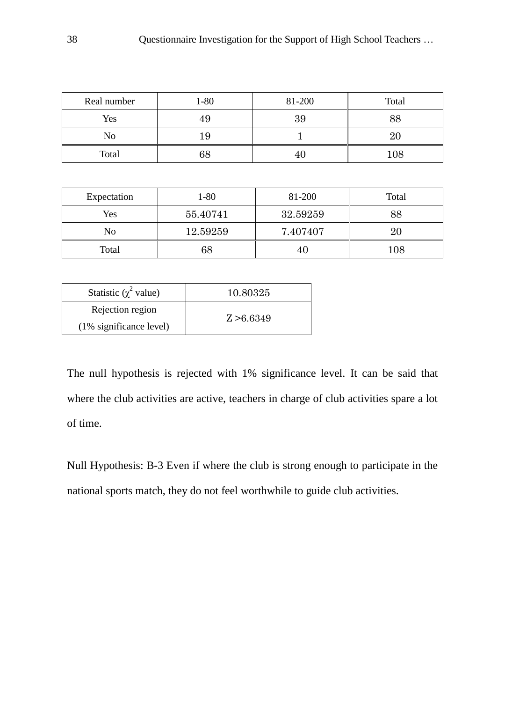| Real number | $1 - 80$ | 81-200 | Total |
|-------------|----------|--------|-------|
| Yes         | 49       | 39     |       |
| No<br>19    |          |        |       |
| Total       | $68\,$   |        | 108   |

| Expectation | 1-80     | 81-200   | Total   |
|-------------|----------|----------|---------|
| Yes         | 55.40741 | 32.59259 | 88      |
| No          | 12.59259 | 7.407407 | 20      |
| Total<br>68 |          | 41       | $108\,$ |

| Statistic ( $\chi^2$ value) | 10.80325   |
|-----------------------------|------------|
| Rejection region            | Z > 6.6349 |
| $(1\%$ significance level)  |            |

The null hypothesis is rejected with 1% significance level. It can be said that where the club activities are active, teachers in charge of club activities spare a lot of time.

Null Hypothesis: B-3 Even if where the club is strong enough to participate in the national sports match, they do not feel worthwhile to guide club activities.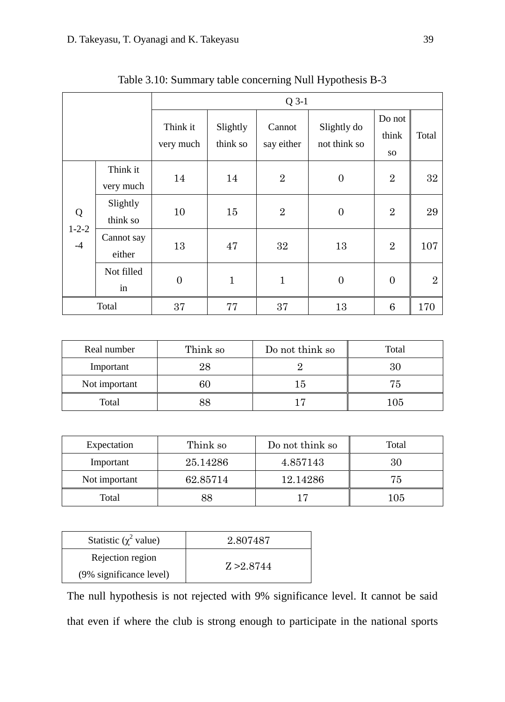|                          |                       | $Q$ 3-1               |                      |                      |                             |                              |                |
|--------------------------|-----------------------|-----------------------|----------------------|----------------------|-----------------------------|------------------------------|----------------|
|                          |                       | Think it<br>very much | Slightly<br>think so | Cannot<br>say either | Slightly do<br>not think so | Do not<br>think<br><b>SO</b> | Total          |
|                          | Think it<br>very much | 14                    | 14                   | $\overline{2}$       | $\overline{0}$              | $\overline{2}$               | $32\,$         |
| Q<br>$1 - 2 - 2$<br>$-4$ | Slightly<br>think so  | 10                    | 15                   | $\overline{2}$       | $\overline{0}$              | $\overline{2}$               | 29             |
|                          | Cannot say<br>either  | 13                    | 47                   | 32                   | 13                          | $\overline{2}$               | 107            |
|                          | Not filled<br>in      | $\overline{0}$        | $\mathbf{1}$         | $\mathbf{1}$         | $\overline{0}$              | $\overline{0}$               | $\overline{2}$ |
| Total                    |                       | 37                    | 77                   | 37                   | 13                          | 6                            | 170            |

Table 3.10: Summary table concerning Null Hypothesis B-3

| Real number         | Think so | Do not think so | Total |
|---------------------|----------|-----------------|-------|
| Important           | 28       |                 |       |
| Not important<br>бU |          | 15              | 75    |
| Total<br>88         |          |                 | 105   |

| Think so<br>Expectation   |    | Do not think so | Total |
|---------------------------|----|-----------------|-------|
| 25.14286<br>Important     |    | 4.857143        | 30    |
| Not important<br>62.85714 |    | 12.14286        | 75    |
| Total                     | 88 |                 | 105   |

| Statistic ( $\chi^2$ value) | 2.807487   |
|-----------------------------|------------|
| Rejection region            |            |
| (9% significance level)     | Z > 2.8744 |

The null hypothesis is not rejected with 9% significance level. It cannot be said that even if where the club is strong enough to participate in the national sports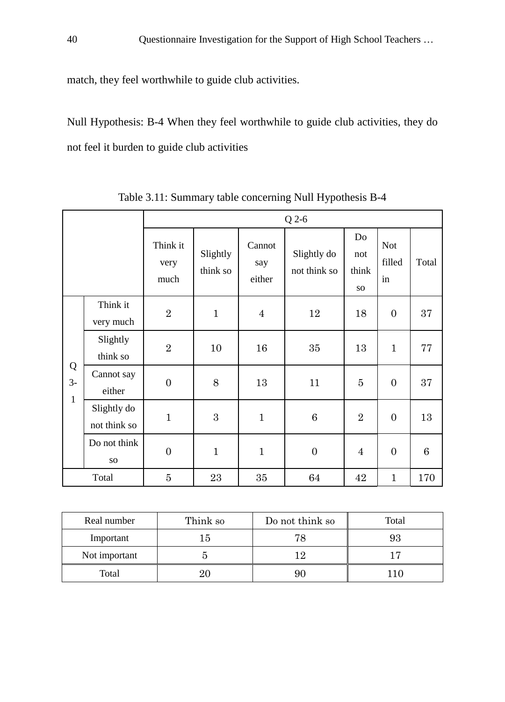match, they feel worthwhile to guide club activities.

Null Hypothesis: B-4 When they feel worthwhile to guide club activities, they do not feel it burden to guide club activities

|              |                                 | Q 2-6                    |                      |                         |                             |                           |                            |                 |
|--------------|---------------------------------|--------------------------|----------------------|-------------------------|-----------------------------|---------------------------|----------------------------|-----------------|
|              |                                 | Think it<br>very<br>much | Slightly<br>think so | Cannot<br>say<br>either | Slightly do<br>not think so | Do<br>not<br>think<br>SO. | <b>Not</b><br>filled<br>in | Total           |
|              | Think it<br>very much           | $\overline{2}$           | $\mathbf{1}$         | $\overline{4}$          | 12                          | 18                        | $\overline{0}$             | 37              |
| Q<br>$3-$    | Slightly<br>think so            | $\overline{2}$           | 10                   | 16                      | 35                          | 13                        | $\mathbf{1}$               | 77              |
|              | Cannot say<br>either            | $\overline{0}$           | 8                    | 13                      | 11                          | $\overline{5}$            | $\overline{0}$             | 37              |
| $\mathbf{1}$ | Slightly do<br>not think so     | $\mathbf 1$              | 3                    | $\mathbf{1}$            | 6                           | $\overline{2}$            | $\overline{0}$             | 13              |
|              | Do not think<br>SO <sub>1</sub> | $\boldsymbol{0}$         | $\mathbf{1}$         | $\mathbf{1}$            | $\boldsymbol{0}$            | $\overline{4}$            | $\overline{0}$             | $6\phantom{.}6$ |
|              | Total                           | $\overline{5}$           | 23                   | 35                      | 64                          | 42                        | $\mathbf{1}$               | 170             |

Table 3.11: Summary table concerning Null Hypothesis B-4

| Real number   | Think so | Do not think so | Total |
|---------------|----------|-----------------|-------|
| Important     | '5       | 78              |       |
| Not important |          |                 |       |
| Total<br>20   |          |                 | 10    |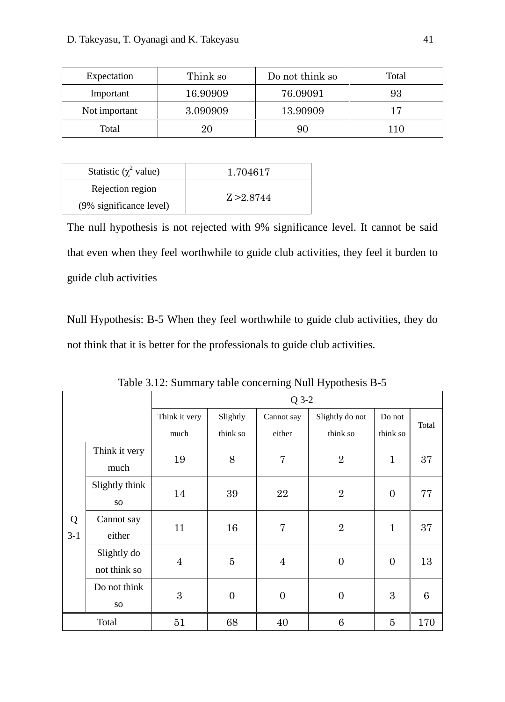| Think so<br>Expectation |          | Do not think so | Total |
|-------------------------|----------|-----------------|-------|
| 16.90909<br>Important   |          | 76.09091        | 93    |
| Not important           | 3.090909 | 13.90909        | 17    |
| Total                   | 20       | 90              | 1C    |

| Statistic ( $\chi^2$ value) | 1.704617   |
|-----------------------------|------------|
| Rejection region            | Z > 2.8744 |
| (9% significance level)     |            |

The null hypothesis is not rejected with 9% significance level. It cannot be said that even when they feel worthwhile to guide club activities, they feel it burden to guide club activities

Null Hypothesis: B-5 When they feel worthwhile to guide club activities, they do not think that it is better for the professionals to guide club activities.

|       |                | $Q$ 3-2        |                |                |                 |                |       |
|-------|----------------|----------------|----------------|----------------|-----------------|----------------|-------|
|       |                | Think it very  | Slightly       | Cannot say     | Slightly do not | Do not         | Total |
|       |                | much           | think so       | either         | think so        | think so       |       |
|       | Think it very  | 19             | 8              | $\overline{7}$ | $\overline{2}$  | $\mathbf{1}$   | 37    |
|       | much           |                |                |                |                 |                |       |
|       | Slightly think |                |                | 22             | $\overline{2}$  | $\overline{0}$ | 77    |
|       | SO.            | 14             | 39             |                |                 |                |       |
| Q     | Cannot say     |                |                | $\overline{7}$ | $\overline{2}$  | $\mathbf{1}$   | 37    |
| $3-1$ | either         | 11             | 16             |                |                 |                |       |
|       | Slightly do    |                |                |                |                 |                |       |
|       | not think so   | $\overline{4}$ | $\overline{5}$ | $\overline{4}$ | $\overline{0}$  | $\overline{0}$ | 13    |
|       | Do not think   |                |                |                |                 | 3              |       |
|       | <b>SO</b>      | 3              | $\overline{0}$ | $\overline{0}$ | $\overline{0}$  |                | 6     |
| Total |                | 51             | 68             | 40             | 6               | 5              | 170   |

Table 3.12: Summary table concerning Null Hypothesis B-5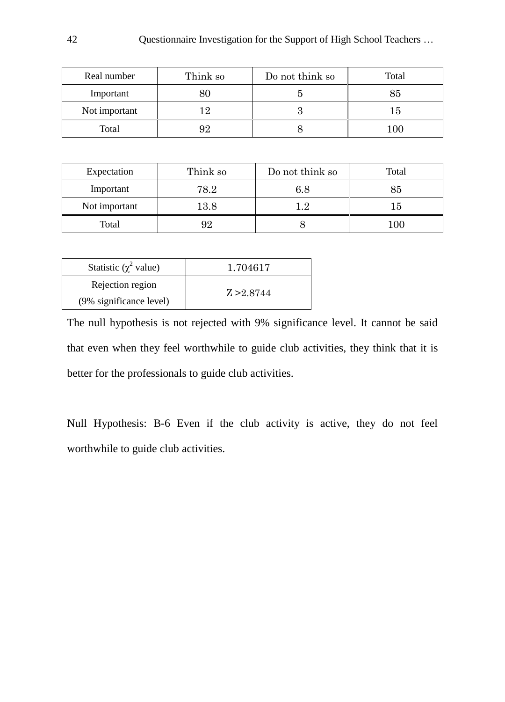| Real number   | Think so | Do not think so | Total |
|---------------|----------|-----------------|-------|
| Important     |          |                 |       |
| Not important |          |                 | Гð    |
| Total         | 92       |                 |       |

| Expectation   | Think so | Do not think so | Total   |
|---------------|----------|-----------------|---------|
| Important     | 78.2     | 6.8             | $85\,$  |
| Not important | $13.8\,$ | ני ו            | ה ו     |
| Total         | 92       |                 | $100\,$ |

| Statistic ( $\chi^2$ value) | 1.704617   |
|-----------------------------|------------|
| Rejection region            | Z > 2.8744 |
| (9% significance level)     |            |

The null hypothesis is not rejected with 9% significance level. It cannot be said that even when they feel worthwhile to guide club activities, they think that it is better for the professionals to guide club activities.

Null Hypothesis: B-6 Even if the club activity is active, they do not feel worthwhile to guide club activities.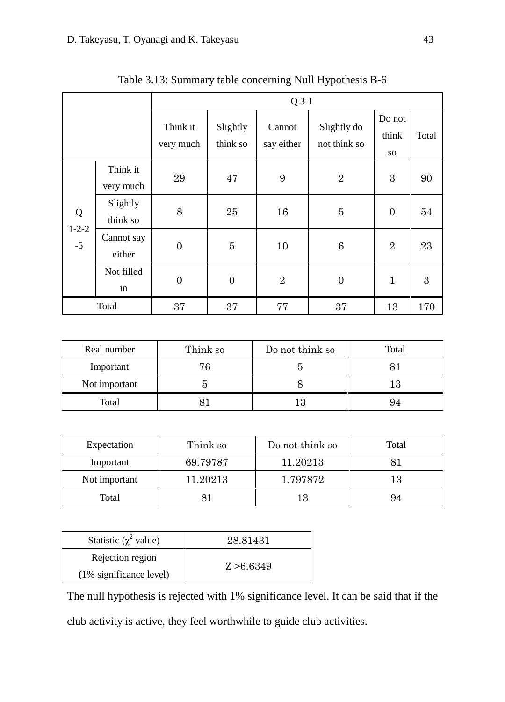|                          |                       | $Q$ 3-1               |                      |                      |                             |                              |       |
|--------------------------|-----------------------|-----------------------|----------------------|----------------------|-----------------------------|------------------------------|-------|
|                          |                       | Think it<br>very much | Slightly<br>think so | Cannot<br>say either | Slightly do<br>not think so | Do not<br>think<br><b>SO</b> | Total |
|                          | Think it<br>very much | 29                    | 47                   | 9                    | $\overline{2}$              | 3                            | 90    |
| Q<br>$1 - 2 - 2$<br>$-5$ | Slightly<br>think so  | 8                     | 25                   | 16                   | $\overline{5}$              | $\overline{0}$               | 54    |
|                          | Cannot say<br>either  | $\boldsymbol{0}$      | $\overline{5}$       | 10                   | 6                           | $\overline{2}$               | 23    |
|                          | Not filled<br>in      | $\overline{0}$        | $\overline{0}$       | $\overline{2}$       | $\overline{0}$              | $\mathbf{1}$                 | 3     |
|                          | Total                 | 37                    | 37                   | 77                   | 37                          | 13                           | 170   |

Table 3.13: Summary table concerning Null Hypothesis B-6

| Real number   | Think so | Do not think so | Total |
|---------------|----------|-----------------|-------|
| Important     | 76       |                 |       |
| Not important |          |                 |       |
| Total         |          |                 |       |

| Expectation   | Think so | Do not think so | Total |
|---------------|----------|-----------------|-------|
| Important     | 69.79787 | 11.20213        |       |
| Not important | 11.20213 | 1.797872        | 13    |
| Total         |          |                 |       |

| Statistic ( $\chi^2$ value) | 28.81431   |
|-----------------------------|------------|
| Rejection region            |            |
| $(1\%$ significance level)  | Z > 6.6349 |

The null hypothesis is rejected with 1% significance level. It can be said that if the club activity is active, they feel worthwhile to guide club activities.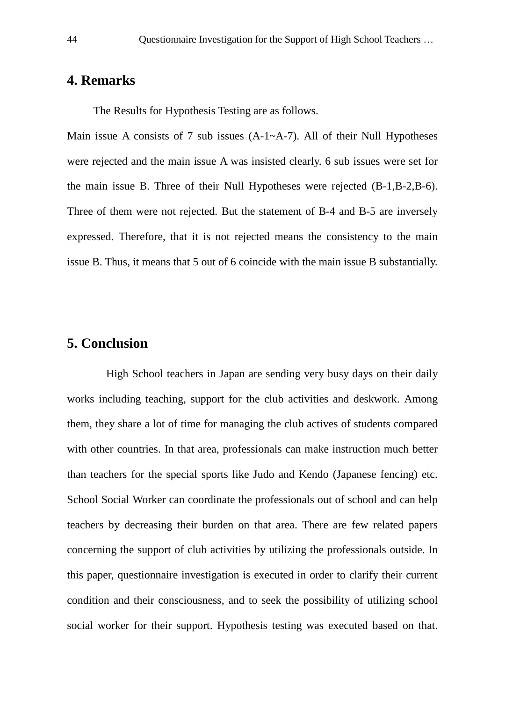## **4. Remarks**

The Results for Hypothesis Testing are as follows.

Main issue A consists of 7 sub issues  $(A-1-A-7)$ . All of their Null Hypotheses were rejected and the main issue A was insisted clearly. 6 sub issues were set for the main issue B. Three of their Null Hypotheses were rejected (B-1,B-2,B-6). Three of them were not rejected. But the statement of B-4 and B-5 are inversely expressed. Therefore, that it is not rejected means the consistency to the main issue B. Thus, it means that 5 out of 6 coincide with the main issue B substantially.

## **5. Conclusion**

High School teachers in Japan are sending very busy days on their daily works including teaching, support for the club activities and deskwork. Among them, they share a lot of time for managing the club actives of students compared with other countries. In that area, professionals can make instruction much better than teachers for the special sports like Judo and Kendo (Japanese fencing) etc. School Social Worker can coordinate the professionals out of school and can help teachers by decreasing their burden on that area. There are few related papers concerning the support of club activities by utilizing the professionals outside. In this paper, questionnaire investigation is executed in order to clarify their current condition and their consciousness, and to seek the possibility of utilizing school social worker for their support. Hypothesis testing was executed based on that.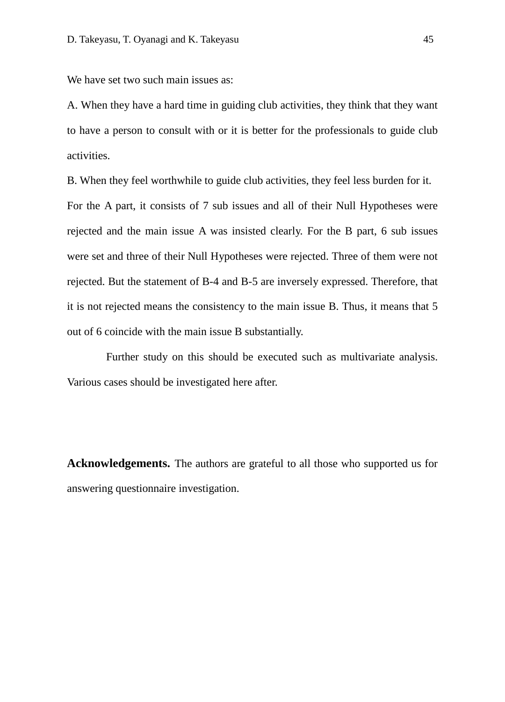We have set two such main issues as:

A. When they have a hard time in guiding club activities, they think that they want to have a person to consult with or it is better for the professionals to guide club activities.

B. When they feel worthwhile to guide club activities, they feel less burden for it. For the A part, it consists of 7 sub issues and all of their Null Hypotheses were rejected and the main issue A was insisted clearly. For the B part, 6 sub issues were set and three of their Null Hypotheses were rejected. Three of them were not rejected. But the statement of B-4 and B-5 are inversely expressed. Therefore, that it is not rejected means the consistency to the main issue B. Thus, it means that 5 out of 6 coincide with the main issue B substantially.

Further study on this should be executed such as multivariate analysis. Various cases should be investigated here after.

**Acknowledgements.** The authors are grateful to all those who supported us for answering questionnaire investigation.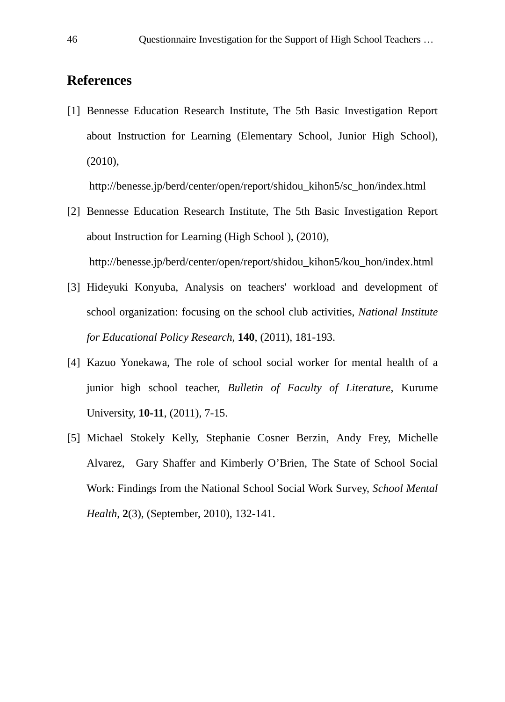## **References**

[1] Bennesse Education Research Institute, The 5th Basic Investigation Report about Instruction for Learning (Elementary School, Junior High School), (2010),

http://benesse.jp/berd/center/open/report/shidou\_kihon5/sc\_hon/index.html

- [2] Bennesse Education Research Institute, The 5th Basic Investigation Report about Instruction for Learning (High School ), (2010), http://benesse.jp/berd/center/open/report/shidou\_kihon5/kou\_hon/index.html
- [3] Hideyuki Konyuba, Analysis on teachers' workload and development of school organization: focusing on the school club activities, *National Institute for Educational Policy Research*, **140**, (2011), 181-193.
- [4] Kazuo Yonekawa, The role of school social worker for mental health of a junior high school teacher, *Bulletin of Faculty of Literature*, Kurume University, **10-11**, (2011), 7-15.
- [5] Michael Stokely Kelly, Stephanie Cosner Berzin, Andy Frey, Michelle Alvarez, Gary Shaffer and Kimberly O'Brien, The State of School Social Work: Findings from the National School Social Work Survey, *School Mental Health*, **2**(3), (September, 2010), 132-141.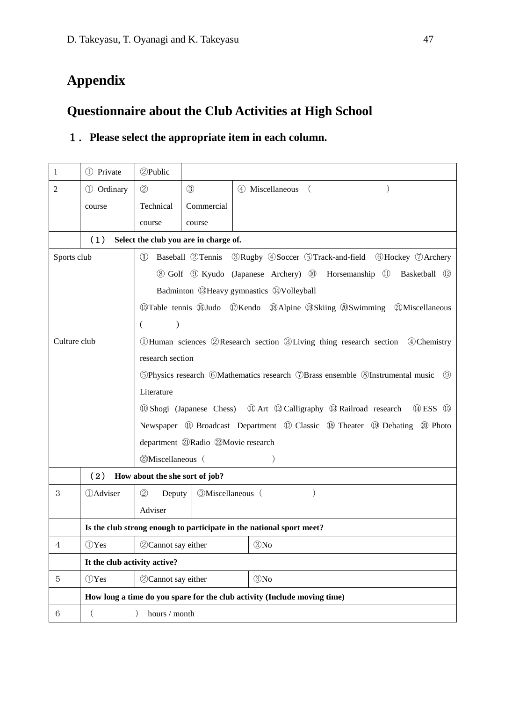## **Appendix**

## **Questionnaire about the Club Activities at High School**

### 1.**Please select the appropriate item in each column.**

| $\mathbf{1}$   | 1 Private        | 2Public                           |                                                                                                                           |                                                                                          |  |  |  |
|----------------|------------------|-----------------------------------|---------------------------------------------------------------------------------------------------------------------------|------------------------------------------------------------------------------------------|--|--|--|
| $\overline{2}$ | 1 Ordinary       | (2)                               | $\circled{3}$                                                                                                             | 4) Miscellaneous (<br>$\lambda$                                                          |  |  |  |
|                | course           | Technical                         | Commercial                                                                                                                |                                                                                          |  |  |  |
|                |                  | course                            | course                                                                                                                    |                                                                                          |  |  |  |
|                | (1)              |                                   | Select the club you are in charge of.                                                                                     |                                                                                          |  |  |  |
| Sports club    |                  | (1)                               |                                                                                                                           | Baseball ②Tennis ③Rugby ④Soccer ⑤Track-and-field ⑥Hockey ⑦Archery                        |  |  |  |
|                |                  |                                   |                                                                                                                           | 8 Golf 9 Kyudo (Japanese Archery) 10 Horsemanship 11<br>Basketball (12)                  |  |  |  |
|                |                  |                                   |                                                                                                                           | Badminton 13Heavy gymnastics 14Volleyball                                                |  |  |  |
|                |                  |                                   |                                                                                                                           | <b>19 Table tennis 19 Judo</b> 10 Kendo 19 Alpine 19 Skiing 20 Swimming 20 Miscellaneous |  |  |  |
|                |                  | €<br>$\mathcal{E}$                |                                                                                                                           |                                                                                          |  |  |  |
| Culture club   |                  |                                   |                                                                                                                           | 10 Human sciences 2 Research section 3 Living thing research section 4 Chemistry         |  |  |  |
|                |                  | research section                  |                                                                                                                           |                                                                                          |  |  |  |
|                |                  |                                   | 5 Physics research 6 Mathematics research 7 Brass ensemble 8 Instrumental music 9                                         |                                                                                          |  |  |  |
|                |                  | Literature                        |                                                                                                                           |                                                                                          |  |  |  |
|                |                  |                                   | 19 ESS 19 (Japanese Chess) 100 Art 120 Calligraphy 13 Railroad research 14 ESS 15                                         |                                                                                          |  |  |  |
|                |                  |                                   | Newspaper $\circledR$ Broadcast Department $\circledR$ Classic $\circledR$ Theater $\circledR$ Debating $\circledR$ Photo |                                                                                          |  |  |  |
|                |                  |                                   | department @Radio @Movie research                                                                                         |                                                                                          |  |  |  |
|                |                  |                                   | 23Miscellaneous (<br>$\mathcal{E}$                                                                                        |                                                                                          |  |  |  |
|                | (2)              | How about the she sort of job?    |                                                                                                                           |                                                                                          |  |  |  |
| 3              | <b>D</b> Adviser | (2)<br>Deputy                     | <b>3Miscellaneous</b> (                                                                                                   | $\mathcal{L}$                                                                            |  |  |  |
|                |                  | Adviser                           |                                                                                                                           |                                                                                          |  |  |  |
|                |                  |                                   |                                                                                                                           | Is the club strong enough to participate in the national sport meet?                     |  |  |  |
| 4              | (DYes            | <b>3No</b><br>2 Cannot say either |                                                                                                                           |                                                                                          |  |  |  |
|                |                  | It the club activity active?      |                                                                                                                           |                                                                                          |  |  |  |
| 5              | (I)Yes           | 2 Cannot say either               |                                                                                                                           | $\mathcal{O}N$ o                                                                         |  |  |  |
|                |                  |                                   |                                                                                                                           | How long a time do you spare for the club activity (Include moving time)                 |  |  |  |
| 6              | $\left($         | $\mathcal{L}$<br>hours / month    |                                                                                                                           |                                                                                          |  |  |  |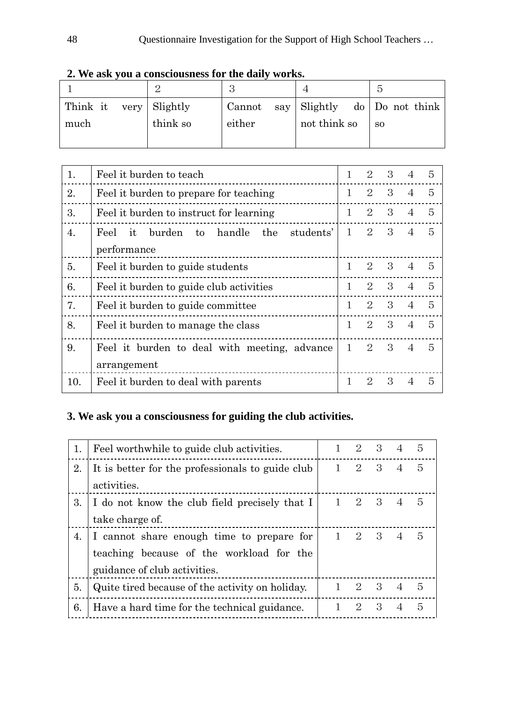|                        |          | റ      |              |  |                              |
|------------------------|----------|--------|--------------|--|------------------------------|
| Think it very Slightly |          | Cannot |              |  | say Slightly do Do not think |
| much                   | think so | either | not think so |  | <sub>SO</sub>                |
|                        |          |        |              |  |                              |

**2. We ask you a consciousness for the daily works.**

| 1.  | Feel it burden to teach                                  | 1            | $\mathcal{D}_{\mathcal{L}}$ | 3            | $\overline{4}$ | 5              |
|-----|----------------------------------------------------------|--------------|-----------------------------|--------------|----------------|----------------|
| 2.  | Feel it burden to prepare for teaching                   | 1            | 2                           | 3            | $\overline{4}$ | 5              |
| 3.  | Feel it burden to instruct for learning                  | $\mathbf{1}$ | 2                           | 3            | $\overline{4}$ | 5              |
| 4.  | handle<br>the<br>students'<br>it<br>burden<br>Feel<br>to | 1            | 2                           | 3            | $\overline{4}$ | $\overline{5}$ |
|     | performance                                              |              |                             |              |                |                |
| 5.  | Feel it burden to guide students                         | 1            | 2                           | $\mathbf{3}$ | $\overline{4}$ | - 5            |
| 6.  | Feel it burden to guide club activities                  | $\mathbf{1}$ | $\mathcal{D}_{\mathcal{L}}$ | 3            | $\overline{4}$ | $\overline{5}$ |
| 7.  | Feel it burden to guide committee                        | 1            | 2                           | 3            | $\overline{4}$ | 5              |
| 8.  | Feel it burden to manage the class                       | $\mathbf{1}$ | $\mathcal{D}_{\mathcal{L}}$ | 3            | $\overline{4}$ | 5              |
| 9.  | Feel it burden to deal with meeting, advance             | $\mathbf{1}$ | 2                           | 3            | $\overline{4}$ | $\overline{5}$ |
|     | arrangement                                              |              |                             |              |                |                |
| 10. | Feel it burden to deal with parents                      | 1            | $\mathcal{D}_{\mathcal{L}}$ | 3            | 4              | 5              |

## **3. We ask you a consciousness for guiding the club activities.**

| 1. | Feel worthwhile to guide club activities.        | 2                           | 3 <sup>3</sup> | $\overline{4}$ | 5 |
|----|--------------------------------------------------|-----------------------------|----------------|----------------|---|
| 2. | It is better for the professionals to guide club | 2                           | - 3            | $\overline{A}$ | 5 |
|    | activities.                                      |                             |                |                |   |
| 3. | I do not know the club field precisely that I    | -2                          | - 3            | $\overline{4}$ | 5 |
|    | take charge of.                                  |                             |                |                |   |
| 4. | I cannot share enough time to prepare for        | 2                           | - 3            | $\overline{4}$ | 5 |
|    | teaching because of the workload for the         |                             |                |                |   |
|    | guidance of club activities.                     |                             |                |                |   |
| 5. | Quite tired because of the activity on holiday.  | $\mathcal{D}_{\mathcal{L}}$ | 3 <sup>1</sup> | $\overline{4}$ | 5 |
| 6. | Have a hard time for the technical guidance.     | 2                           | 3              |                | 5 |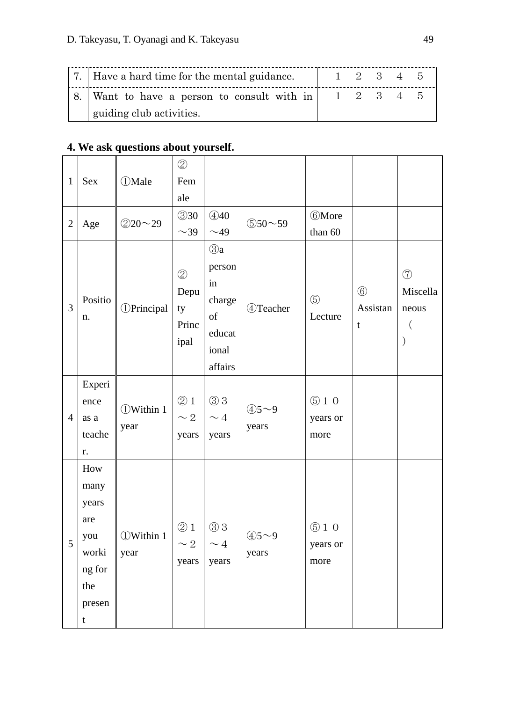| 7. Have a hard time for the mental guidance. | $1\quad 2\quad 3\quad 4\quad 5$ |  |  |
|----------------------------------------------|---------------------------------|--|--|
| 8. Want to have a person to consult with in  | 1 2 3 4 5                       |  |  |
| guiding club activities.                     |                                 |  |  |

## **4. We ask questions about yourself.**

| $\mathbf{1}$   | Sex                                                                                   | <b><i>OMale</i></b>             | $\circled{2}$<br>Fem                         |                                                                         |                   |                          |                              |                                                                  |
|----------------|---------------------------------------------------------------------------------------|---------------------------------|----------------------------------------------|-------------------------------------------------------------------------|-------------------|--------------------------|------------------------------|------------------------------------------------------------------|
|                |                                                                                       |                                 | ale                                          |                                                                         |                   |                          |                              |                                                                  |
| $\overline{2}$ | Age                                                                                   | $@20 \sim 29$                   | $\circled{3}30$<br>$\sim$ 39                 | (4)40<br>$\sim$ 49                                                      | \$50~59           | <b>6More</b><br>than 60  |                              |                                                                  |
| $\overline{3}$ | Positio<br>n.                                                                         | <b><i><u>DPrincipal</u></i></b> | $\circled{2}$<br>Depu<br>ty<br>Princ<br>ipal | $\odot a$<br>person<br>in<br>charge<br>of<br>educat<br>ional<br>affairs | 4)Teacher         | $\circledS$<br>Lecture   | $\circledS$<br>Assistan<br>t | $\circledcirc$<br>Miscella<br>neous<br>$\left($<br>$\mathcal{E}$ |
| $\overline{4}$ | Experi<br>ence<br>as a<br>teache<br>r.                                                | <b><i>OWithin 1</i></b><br>year | $\circledcirc$ 1<br>$\sim 2$<br>years        | $\circledS$ 3<br>$\sim 4$<br>years                                      | $45 - 9$<br>years | \$10<br>years or<br>more |                              |                                                                  |
| 5              | How<br>many<br>years<br>are<br>you<br>worki<br>ng for<br>the<br>presen<br>$\mathbf t$ | <b><i>OWithin 1</i></b><br>year | @1<br>$\sim 2$<br>years                      | $\circledS$ 3<br>$\sim 4$<br>years                                      | $45 - 9$<br>years | \$10<br>years or<br>more |                              |                                                                  |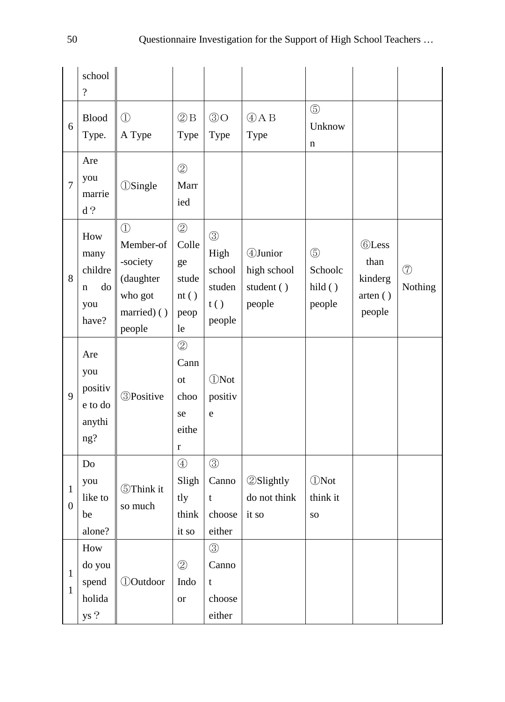|                                | school<br>$\overline{\mathcal{L}}$                |                                                                                      |                                                                |                                                            |                                                  |                                            |                                                      |                          |
|--------------------------------|---------------------------------------------------|--------------------------------------------------------------------------------------|----------------------------------------------------------------|------------------------------------------------------------|--------------------------------------------------|--------------------------------------------|------------------------------------------------------|--------------------------|
| 6                              | <b>Blood</b><br>Type.                             | $\bigcirc$<br>A Type                                                                 | $(2)$ B<br>Type                                                | $\circledS$ O<br>Type                                      | $(A)$ AB<br>Type                                 | $\circledS$<br>Unknow<br>n                 |                                                      |                          |
| $\overline{7}$                 | Are<br>you<br>marrie<br>d?                        | <b><i>OSingle</i></b>                                                                | $\circled{2}$<br>Marr<br>ied                                   |                                                            |                                                  |                                            |                                                      |                          |
| 8                              | How<br>many<br>childre<br>do<br>n<br>you<br>have? | $\bigcirc$<br>Member-of<br>-society<br>(daughter<br>who got<br>married) ()<br>people | $\circled{2}$<br>Colle<br>ge<br>stude<br>nt()<br>peop<br>le    | $\circled{3}$<br>High<br>school<br>studen<br>t()<br>people | 4Junior<br>high school<br>student ()<br>people   | $\circledS$<br>Schoolc<br>hild()<br>people | <b>©Less</b><br>than<br>kinderg<br>arten()<br>people | $\circled{7}$<br>Nothing |
| 9                              | Are<br>you<br>positiv<br>e to do<br>anythi<br>ng? | <b>3Positive</b>                                                                     | $^{\circledR}$<br>Cann<br>ot<br>choo<br>se<br>eithe<br>$\bf r$ | <b><i>ONot</i></b><br>positiv<br>e                         |                                                  |                                            |                                                      |                          |
| $\mathbf{1}$<br>$\overline{0}$ | Do<br>you<br>like to<br>be<br>alone?              | <b>5</b> Think it<br>so much                                                         | $\bigcirc$<br>$S$ ligh<br>tly<br>think<br>it so                | $\circledS$<br>$\mathbf t$<br>choose<br>either             | Canno $\circ$ 2Slightly<br>do not think<br>it so | <b><i>ONot</i></b><br>think it<br>SO       |                                                      |                          |
| $\mathbf{1}$<br>$\mathbf{1}$   | How<br>do you<br>spend<br>holida<br>ys ?          | <b><i><u>DOutdoor</u></i></b>                                                        | $\circled{2}$<br>Indo<br><b>or</b>                             | $\circledS$<br>Canno<br>$\mathbf t$<br>choose<br>either    |                                                  |                                            |                                                      |                          |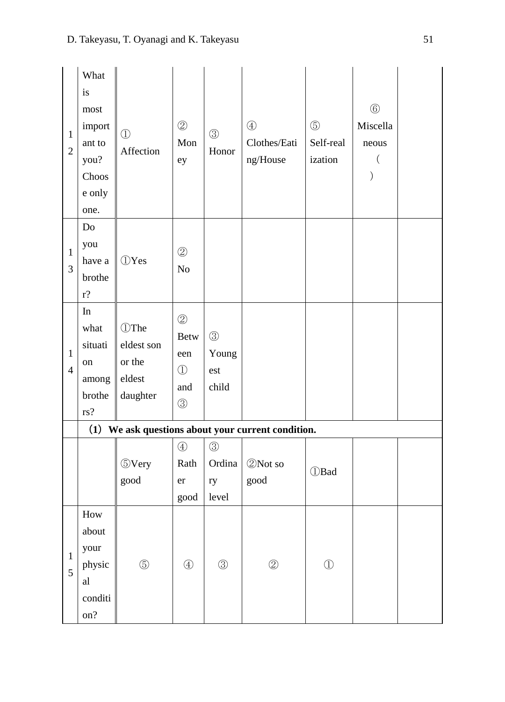| $\mathbf{1}$<br>$\overline{2}$ | What<br>is<br>most<br>import<br>ant to<br>you?<br>Choos<br>e only<br>one. | $\bigcirc$<br>Affection                                    | $\circledZ$<br>Mon<br>ey                                                | $\circledS$<br>Honor                   | $\circled{4}$<br>Clothes/Eati<br>$\rm ng/House$    | $\circledS$<br>Self-real<br>ization | $\circledS$<br>Miscella<br>neous |  |
|--------------------------------|---------------------------------------------------------------------------|------------------------------------------------------------|-------------------------------------------------------------------------|----------------------------------------|----------------------------------------------------|-------------------------------------|----------------------------------|--|
| $\mathbf{1}$<br>3              | Do<br>you<br>have a<br>brothe<br>$r$ ?                                    | <b><i>OYes</i></b>                                         | $\circledZ$<br>N <sub>o</sub>                                           |                                        |                                                    |                                     |                                  |  |
| $\mathbf{1}$<br>$\overline{4}$ | In<br>what<br>situati<br>on<br>among<br>brothe<br>rs?                     | <b>1</b> The<br>eldest son<br>or the<br>eldest<br>daughter | $\circledZ$<br><b>Betw</b><br>een<br>$\bigcirc$<br>and<br>$\circled{3}$ | $\circledS$<br>Young<br>est<br>child   |                                                    |                                     |                                  |  |
|                                |                                                                           |                                                            |                                                                         |                                        | (1) We ask questions about your current condition. |                                     |                                  |  |
|                                |                                                                           | <b>5Very</b><br>good                                       | $\circled{4}$<br>Rath<br>er<br>good                                     | $\circled{3}$<br>Ordina<br>ry<br>level | 2 Not so<br>$\operatorname{good}$                  | <b>D</b> Bad                        |                                  |  |
| $\mathbf{1}$<br>5              | $\operatorname*{How}$<br>about<br>your<br>physic<br>al<br>conditi<br>on?  | $\circledS$                                                | $\bigcirc$                                                              | $\circledS$                            | $\circledZ$                                        | $\bigcirc$                          |                                  |  |